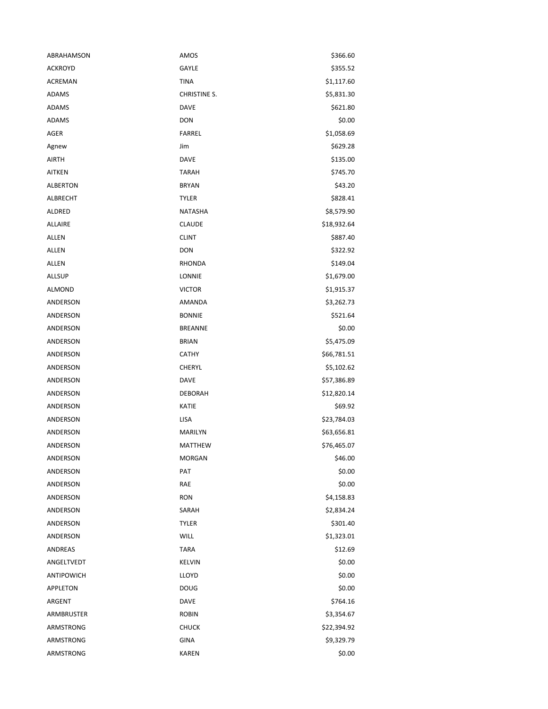| ABRAHAMSON      | AMOS                | \$366.60    |
|-----------------|---------------------|-------------|
| <b>ACKROYD</b>  | GAYLE               | \$355.52    |
| ACREMAN         | TINA                | \$1,117.60  |
| <b>ADAMS</b>    | <b>CHRISTINE S.</b> | \$5,831.30  |
| <b>ADAMS</b>    | <b>DAVE</b>         | \$621.80    |
| ADAMS           | <b>DON</b>          | \$0.00      |
| AGER            | <b>FARREL</b>       | \$1,058.69  |
| Agnew           | Jim                 | \$629.28    |
| AIRTH           | <b>DAVE</b>         | \$135.00    |
| <b>AITKEN</b>   | <b>TARAH</b>        | \$745.70    |
| <b>ALBERTON</b> | <b>BRYAN</b>        | \$43.20     |
| ALBRECHT        | <b>TYLER</b>        | \$828.41    |
| ALDRED          | <b>NATASHA</b>      | \$8,579.90  |
| <b>ALLAIRE</b>  | <b>CLAUDE</b>       | \$18,932.64 |
| ALLEN           | <b>CLINT</b>        | \$887.40    |
| ALLEN           | <b>DON</b>          | \$322.92    |
| ALLEN           | <b>RHONDA</b>       | \$149.04    |
| <b>ALLSUP</b>   | LONNIE              | \$1,679.00  |
| ALMOND          | <b>VICTOR</b>       | \$1,915.37  |
| ANDERSON        | AMANDA              | \$3,262.73  |
| ANDERSON        | <b>BONNIE</b>       | \$521.64    |
| ANDERSON        | <b>BREANNE</b>      | \$0.00      |
| ANDERSON        | <b>BRIAN</b>        | \$5,475.09  |
| ANDERSON        | <b>CATHY</b>        | \$66,781.51 |
| ANDERSON        | <b>CHERYL</b>       | \$5,102.62  |
| ANDERSON        | <b>DAVE</b>         | \$57,386.89 |
| ANDERSON        | <b>DEBORAH</b>      | \$12,820.14 |
| ANDERSON        | KATIE               | \$69.92     |
| ANDERSON        | LISA                | \$23,784.03 |
| ANDERSON        | MARILYN             | \$63,656.81 |
| ANDERSON        | <b>MATTHEW</b>      | \$76,465.07 |
| ANDERSON        | MORGAN              | \$46.00     |
| ANDERSON        | PAT                 | \$0.00      |
| ANDERSON        | RAE                 | \$0.00      |
| ANDERSON        | <b>RON</b>          | \$4,158.83  |
| ANDERSON        | SARAH               | \$2,834.24  |
| ANDERSON        | <b>TYLER</b>        | \$301.40    |
| <b>ANDERSON</b> | <b>WILL</b>         | \$1,323.01  |
| ANDREAS         | <b>TARA</b>         | \$12.69     |
| ANGELTVEDT      | <b>KELVIN</b>       | \$0.00      |
| ANTIPOWICH      | LLOYD               | \$0.00      |
| APPLETON        | DOUG                | \$0.00      |
| ARGENT          | DAVE                | \$764.16    |
| ARMBRUSTER      | <b>ROBIN</b>        | \$3,354.67  |
| ARMSTRONG       | <b>CHUCK</b>        | \$22,394.92 |
| ARMSTRONG       | GINA                | \$9,329.79  |
| ARMSTRONG       | <b>KAREN</b>        | \$0.00      |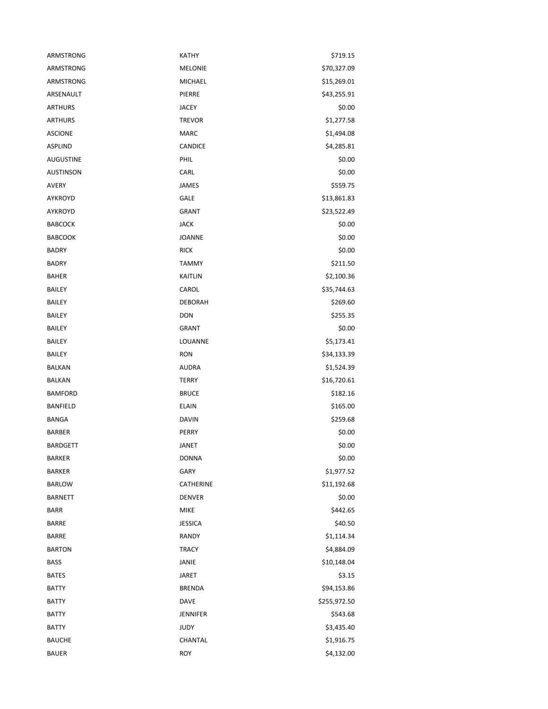| ARMSTRONG        | KATHY           | \$719.15     |
|------------------|-----------------|--------------|
| ARMSTRONG        | <b>MELONIE</b>  | \$70,327.09  |
| <b>ARMSTRONG</b> | MICHAEL         | \$15,269.01  |
| ARSENAULT        | PIERRE          | \$43,255.91  |
| <b>ARTHURS</b>   | <b>JACEY</b>    | \$0.00       |
| <b>ARTHURS</b>   | <b>TREVOR</b>   | \$1,277.58   |
| <b>ASCIONE</b>   | <b>MARC</b>     | \$1,494.08   |
| ASPLIND          | CANDICE         | \$4,285.81   |
| <b>AUGUSTINE</b> | PHIL            | \$0.00       |
| <b>AUSTINSON</b> | CARL            | \$0.00       |
| AVERY            | <b>JAMES</b>    | \$559.75     |
| AYKROYD          | <b>GALE</b>     | \$13,861.83  |
| AYKROYD          | <b>GRANT</b>    | \$23,522.49  |
| <b>BABCOCK</b>   | <b>JACK</b>     | \$0.00       |
| <b>BABCOOK</b>   | <b>JOANNE</b>   | \$0.00       |
| <b>BADRY</b>     | <b>RICK</b>     | \$0.00       |
| <b>BADRY</b>     | <b>TAMMY</b>    | \$211.50     |
| <b>BAHER</b>     | <b>KAITLIN</b>  | \$2,100.36   |
| <b>BAILEY</b>    | CAROL           | \$35,744.63  |
| <b>BAILEY</b>    | <b>DEBORAH</b>  | \$269.60     |
| BAILEY           | DON             | \$255.35     |
| BAILEY           | <b>GRANT</b>    | \$0.00       |
| <b>BAILEY</b>    | LOUANNE         | \$5,173.41   |
| BAILEY           | <b>RON</b>      | \$34,133.39  |
| BALKAN           | <b>AUDRA</b>    | \$1,524.39   |
| <b>BALKAN</b>    | <b>TERRY</b>    | \$16,720.61  |
| <b>BAMFORD</b>   | <b>BRUCE</b>    | \$182.16     |
| <b>BANFIELD</b>  | <b>ELAIN</b>    | \$165.00     |
| <b>BANGA</b>     | <b>DAVIN</b>    | \$259.68     |
| <b>BARBER</b>    | PERRY           | \$0.00       |
| <b>BARDGETT</b>  | <b>JANET</b>    | \$0.00       |
| <b>BARKER</b>    | <b>DONNA</b>    | \$0.00       |
| <b>BARKER</b>    | GARY            | \$1,977.52   |
| <b>BARLOW</b>    | CATHERINE       | \$11,192.68  |
| <b>BARNETT</b>   | <b>DENVER</b>   | \$0.00       |
| <b>BARR</b>      | <b>MIKE</b>     | \$442.65     |
| <b>BARRE</b>     | <b>JESSICA</b>  | \$40.50      |
| <b>BARRE</b>     | <b>RANDY</b>    | \$1,114.34   |
| <b>BARTON</b>    | <b>TRACY</b>    | \$4,884.09   |
| <b>BASS</b>      | JANIE           | \$10,148.04  |
| <b>BATES</b>     | <b>JARET</b>    | \$3.15       |
| <b>BATTY</b>     | <b>BRENDA</b>   | \$94,153.86  |
| <b>BATTY</b>     | <b>DAVE</b>     | \$255,972.50 |
| <b>BATTY</b>     | <b>JENNIFER</b> | \$543.68     |
| <b>BATTY</b>     | <b>JUDY</b>     | \$3,435.40   |
| <b>BAUCHE</b>    | CHANTAL         | \$1,916.75   |
| <b>BAUER</b>     | <b>ROY</b>      | \$4,132.00   |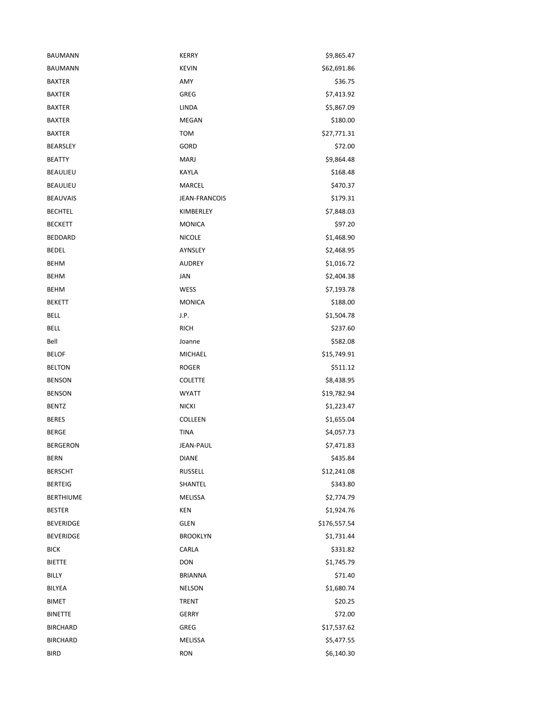| <b>BAUMANN</b>   | <b>KERRY</b>         | \$9,865.47   |
|------------------|----------------------|--------------|
| <b>BAUMANN</b>   | <b>KEVIN</b>         | \$62,691.86  |
| <b>BAXTER</b>    | AMY                  | \$36.75      |
| <b>BAXTER</b>    | <b>GREG</b>          | \$7,413.92   |
| <b>BAXTER</b>    | LINDA                | \$5,867.09   |
| <b>BAXTER</b>    | MEGAN                | \$180.00     |
| <b>BAXTER</b>    | <b>TOM</b>           | \$27,771.31  |
| <b>BEARSLEY</b>  | GORD                 | \$72.00      |
| <b>BEATTY</b>    | <b>MARJ</b>          | \$9,864.48   |
| <b>BEAULIEU</b>  | KAYLA                | \$168.48     |
| <b>BEAULIEU</b>  | MARCEL               | \$470.37     |
| <b>BEAUVAIS</b>  | <b>JEAN-FRANCOIS</b> | \$179.31     |
| <b>BECHTEL</b>   | KIMBERLEY            | \$7,848.03   |
| <b>BECKETT</b>   | <b>MONICA</b>        | \$97.20      |
| <b>BEDDARD</b>   | <b>NICOLE</b>        | \$1,468.90   |
| <b>BEDEL</b>     | <b>AYNSLEY</b>       | \$2,468.95   |
| <b>BEHM</b>      | <b>AUDREY</b>        | \$1,016.72   |
| <b>BEHM</b>      | JAN                  | \$2,404.38   |
| <b>BEHM</b>      | WESS                 | \$7,193.78   |
| <b>BEKETT</b>    | <b>MONICA</b>        | \$188.00     |
| <b>BELL</b>      | J.P.                 | \$1,504.78   |
| BELL             | <b>RICH</b>          | \$237.60     |
| Bell             | Joanne               | \$582.08     |
| <b>BELOF</b>     | MICHAEL              | \$15,749.91  |
| <b>BELTON</b>    | <b>ROGER</b>         | \$511.12     |
| <b>BENSON</b>    | <b>COLETTE</b>       | \$8,438.95   |
| <b>BENSON</b>    | <b>WYATT</b>         | \$19,782.94  |
| <b>BENTZ</b>     | <b>NICKI</b>         | \$1,223.47   |
| <b>BERES</b>     | COLLEEN              | \$1,655.04   |
| <b>BERGE</b>     | TINA                 | \$4,057.73   |
| <b>BERGERON</b>  | <b>JEAN-PAUL</b>     | \$7,471.83   |
| BERN             | <b>DIANE</b>         | \$435.84     |
| <b>BERSCHT</b>   | <b>RUSSELL</b>       | \$12,241.08  |
| <b>BERTEIG</b>   | SHANTEL              | \$343.80     |
| <b>BERTHIUME</b> | <b>MELISSA</b>       | \$2,774.79   |
| <b>BESTER</b>    | KEN                  | \$1,924.76   |
| <b>BEVERIDGE</b> | <b>GLEN</b>          | \$176,557.54 |
| <b>BEVERIDGE</b> | <b>BROOKLYN</b>      | \$1,731.44   |
| <b>BICK</b>      | CARLA                | \$331.82     |
| <b>BIETTE</b>    | <b>DON</b>           | \$1,745.79   |
| <b>BILLY</b>     | <b>BRIANNA</b>       | \$71.40      |
| BILYEA           | <b>NELSON</b>        | \$1,680.74   |
| <b>BIMET</b>     | <b>TRENT</b>         | \$20.25      |
| <b>BINETTE</b>   | <b>GERRY</b>         | \$72.00      |
| <b>BIRCHARD</b>  | <b>GREG</b>          | \$17,537.62  |
| <b>BIRCHARD</b>  | MELISSA              | \$5,477.55   |
| <b>BIRD</b>      | <b>RON</b>           | \$6,140.30   |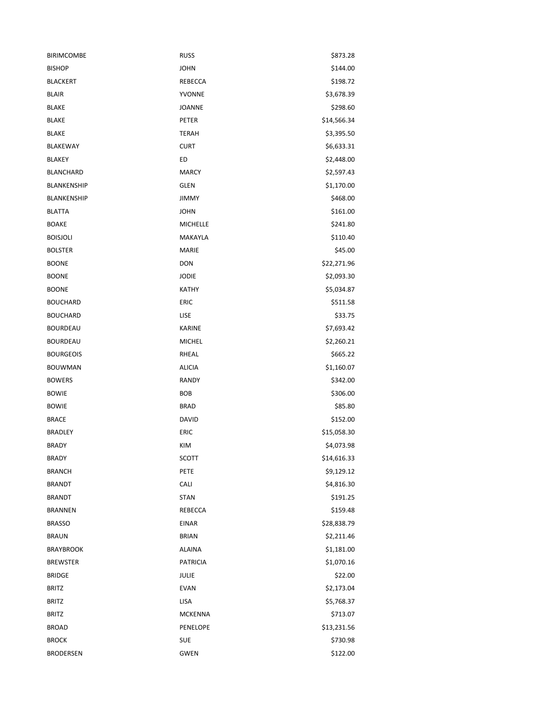| <b>BIRIMCOMBE</b> | <b>RUSS</b>     | \$873.28    |
|-------------------|-----------------|-------------|
| <b>BISHOP</b>     | <b>JOHN</b>     | \$144.00    |
| <b>BLACKERT</b>   | REBECCA         | \$198.72    |
| <b>BLAIR</b>      | YVONNE          | \$3,678.39  |
| <b>BLAKE</b>      | <b>JOANNE</b>   | \$298.60    |
| <b>BLAKE</b>      | PETER           | \$14,566.34 |
| <b>BLAKE</b>      | <b>TERAH</b>    | \$3,395.50  |
| <b>BLAKEWAY</b>   | <b>CURT</b>     | \$6,633.31  |
| <b>BLAKEY</b>     | ED              | \$2,448.00  |
| <b>BLANCHARD</b>  | <b>MARCY</b>    | \$2,597.43  |
| BLANKENSHIP       | <b>GLEN</b>     | \$1,170.00  |
| BLANKENSHIP       | <b>JIMMY</b>    | \$468.00    |
| <b>BLATTA</b>     | <b>JOHN</b>     | \$161.00    |
| <b>BOAKE</b>      | <b>MICHELLE</b> | \$241.80    |
| <b>BOISJOLI</b>   | MAKAYLA         | \$110.40    |
| <b>BOLSTER</b>    | <b>MARIE</b>    | \$45.00     |
| <b>BOONE</b>      | <b>DON</b>      | \$22,271.96 |
| <b>BOONE</b>      | <b>JODIE</b>    | \$2,093.30  |
| <b>BOONE</b>      | KATHY           | \$5,034.87  |
| <b>BOUCHARD</b>   | <b>ERIC</b>     | \$511.58    |
| <b>BOUCHARD</b>   | LISE            | \$33.75     |
| <b>BOURDEAU</b>   | <b>KARINE</b>   | \$7,693.42  |
| <b>BOURDEAU</b>   | <b>MICHEL</b>   | \$2,260.21  |
| <b>BOURGEOIS</b>  | RHEAL           | \$665.22    |
| <b>BOUWMAN</b>    | <b>ALICIA</b>   | \$1,160.07  |
| <b>BOWERS</b>     | RANDY           | \$342.00    |
| <b>BOWIE</b>      | <b>BOB</b>      | \$306.00    |
| <b>BOWIE</b>      | <b>BRAD</b>     | \$85.80     |
| <b>BRACE</b>      | <b>DAVID</b>    | \$152.00    |
| <b>BRADLEY</b>    | <b>ERIC</b>     | \$15,058.30 |
| <b>BRADY</b>      | KIM             | \$4,073.98  |
| BRADY             | SCOTT           | \$14,616.33 |
| <b>BRANCH</b>     | PETE            | \$9,129.12  |
| <b>BRANDT</b>     | CALI            | \$4,816.30  |
| <b>BRANDT</b>     | <b>STAN</b>     | \$191.25    |
| <b>BRANNEN</b>    | <b>REBECCA</b>  | \$159.48    |
| <b>BRASSO</b>     | <b>EINAR</b>    | \$28,838.79 |
| <b>BRAUN</b>      | <b>BRIAN</b>    | \$2,211.46  |
| <b>BRAYBROOK</b>  | <b>ALAINA</b>   | \$1,181.00  |
| <b>BREWSTER</b>   | <b>PATRICIA</b> | \$1,070.16  |
| <b>BRIDGE</b>     | <b>JULIE</b>    | \$22.00     |
| <b>BRITZ</b>      | <b>EVAN</b>     | \$2,173.04  |
| <b>BRITZ</b>      | LISA            | \$5,768.37  |
| <b>BRITZ</b>      | <b>MCKENNA</b>  | \$713.07    |
| <b>BROAD</b>      | PENELOPE        | \$13,231.56 |
| <b>BROCK</b>      | SUE             | \$730.98    |
| <b>BRODERSEN</b>  | <b>GWEN</b>     | \$122.00    |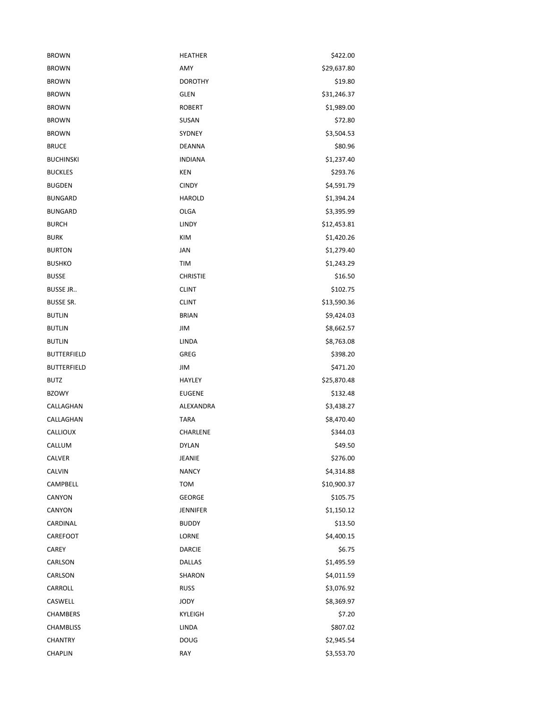| <b>BROWN</b>       | <b>HEATHER</b>  | \$422.00    |
|--------------------|-----------------|-------------|
| <b>BROWN</b>       | AMY             | \$29,637.80 |
| <b>BROWN</b>       | <b>DOROTHY</b>  | \$19.80     |
| <b>BROWN</b>       | <b>GLEN</b>     | \$31,246.37 |
| <b>BROWN</b>       | <b>ROBERT</b>   | \$1,989.00  |
| <b>BROWN</b>       | SUSAN           | \$72.80     |
| <b>BROWN</b>       | SYDNEY          | \$3,504.53  |
| <b>BRUCE</b>       | <b>DEANNA</b>   | \$80.96     |
| <b>BUCHINSKI</b>   | <b>INDIANA</b>  | \$1,237.40  |
| <b>BUCKLES</b>     | KEN             | \$293.76    |
| <b>BUGDEN</b>      | <b>CINDY</b>    | \$4,591.79  |
| <b>BUNGARD</b>     | <b>HAROLD</b>   | \$1,394.24  |
| <b>BUNGARD</b>     | <b>OLGA</b>     | \$3,395.99  |
| <b>BURCH</b>       | LINDY           | \$12,453.81 |
| <b>BURK</b>        | KIM             | \$1,420.26  |
| <b>BURTON</b>      | JAN             | \$1,279.40  |
| <b>BUSHKO</b>      | TIM             | \$1,243.29  |
| <b>BUSSE</b>       | <b>CHRISTIE</b> | \$16.50     |
| <b>BUSSE JR</b>    | <b>CLINT</b>    | \$102.75    |
| <b>BUSSE SR.</b>   | <b>CLINT</b>    | \$13,590.36 |
| <b>BUTLIN</b>      | <b>BRIAN</b>    | \$9,424.03  |
| <b>BUTLIN</b>      | JIM             | \$8,662.57  |
| <b>BUTLIN</b>      | LINDA           | \$8,763.08  |
| <b>BUTTERFIELD</b> | GREG            | \$398.20    |
| <b>BUTTERFIELD</b> | JIM             | \$471.20    |
| <b>BUTZ</b>        | <b>HAYLEY</b>   | \$25,870.48 |
| <b>BZOWY</b>       | <b>EUGENE</b>   | \$132.48    |
| CALLAGHAN          | ALEXANDRA       | \$3,438.27  |
| CALLAGHAN          | <b>TARA</b>     | \$8,470.40  |
| CALLIOUX           | CHARLENE        | \$344.03    |
| CALLUM             | <b>DYLAN</b>    | \$49.50     |
| CALVER             | JEANIE          | \$276.00    |
| CALVIN             | <b>NANCY</b>    | \$4,314.88  |
| CAMPBELL           | <b>TOM</b>      | \$10,900.37 |
| CANYON             | <b>GEORGE</b>   | \$105.75    |
| CANYON             | <b>JENNIFER</b> | \$1,150.12  |
| CARDINAL           | <b>BUDDY</b>    | \$13.50     |
| CAREFOOT           | LORNE           | \$4,400.15  |
| CAREY              | <b>DARCIE</b>   | \$6.75      |
| CARLSON            | <b>DALLAS</b>   | \$1,495.59  |
| CARLSON            | SHARON          | \$4,011.59  |
| CARROLL            | <b>RUSS</b>     | \$3,076.92  |
| CASWELL            | JODY            | \$8,369.97  |
| <b>CHAMBERS</b>    | KYLEIGH         | \$7.20      |
| <b>CHAMBLISS</b>   | LINDA           | \$807.02    |
| <b>CHANTRY</b>     | DOUG            | \$2,945.54  |
| CHAPLIN            | RAY             | \$3,553.70  |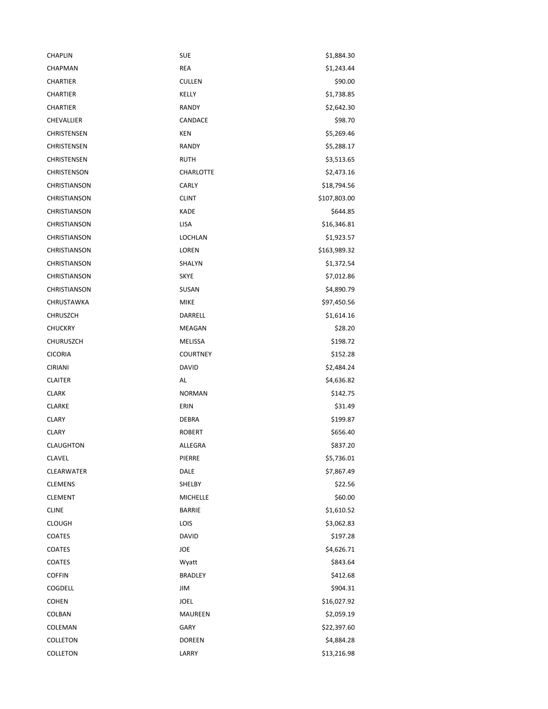| <b>CHAPLIN</b>      | <b>SUE</b>       | \$1,884.30   |
|---------------------|------------------|--------------|
| <b>CHAPMAN</b>      | <b>REA</b>       | \$1,243.44   |
| <b>CHARTIER</b>     | <b>CULLEN</b>    | \$90.00      |
| <b>CHARTIER</b>     | KELLY            | \$1,738.85   |
| <b>CHARTIER</b>     | RANDY            | \$2,642.30   |
| CHEVALLIER          | CANDACE          | \$98.70      |
| CHRISTENSEN         | <b>KEN</b>       | \$5,269.46   |
| CHRISTENSEN         | <b>RANDY</b>     | \$5,288.17   |
| CHRISTENSEN         | <b>RUTH</b>      | \$3,513.65   |
| <b>CHRISTENSON</b>  | <b>CHARLOTTE</b> | \$2,473.16   |
| CHRISTIANSON        | CARLY            | \$18,794.56  |
| CHRISTIANSON        | <b>CLINT</b>     | \$107,803.00 |
| CHRISTIANSON        | <b>KADE</b>      | \$644.85     |
| CHRISTIANSON        | <b>LISA</b>      | \$16,346.81  |
| CHRISTIANSON        | <b>LOCHLAN</b>   | \$1,923.57   |
| CHRISTIANSON        | <b>LOREN</b>     | \$163,989.32 |
| CHRISTIANSON        | SHALYN           | \$1,372.54   |
| <b>CHRISTIANSON</b> | SKYE             | \$7,012.86   |
| <b>CHRISTIANSON</b> | SUSAN            | \$4,890.79   |
| CHRUSTAWKA          | <b>MIKE</b>      | \$97,450.56  |
| <b>CHRUSZCH</b>     | DARRELL          | \$1,614.16   |
| <b>CHUCKRY</b>      | MEAGAN           | \$28.20      |
| CHURUSZCH           | MELISSA          | \$198.72     |
| <b>CICORIA</b>      | <b>COURTNEY</b>  | \$152.28     |
| <b>CIRIANI</b>      | <b>DAVID</b>     | \$2,484.24   |
| <b>CLAITER</b>      | AL               | \$4,636.82   |
| <b>CLARK</b>        | <b>NORMAN</b>    | \$142.75     |
| <b>CLARKE</b>       | ERIN             | \$31.49      |
| <b>CLARY</b>        | <b>DEBRA</b>     | \$199.87     |
| <b>CLARY</b>        | <b>ROBERT</b>    | \$656.40     |
| <b>CLAUGHTON</b>    | ALLEGRA          | \$837.20     |
| CLAVEL              | PIERRE           | \$5,736.01   |
| CLEARWATER          | DALE             | \$7,867.49   |
| <b>CLEMENS</b>      | SHELBY           | \$22.56      |
| <b>CLEMENT</b>      | <b>MICHELLE</b>  | \$60.00      |
| <b>CLINE</b>        | <b>BARRIE</b>    | \$1,610.52   |
| <b>CLOUGH</b>       | LOIS             | \$3,062.83   |
| COATES              | <b>DAVID</b>     | \$197.28     |
| COATES              | JOE              | \$4,626.71   |
| COATES              | Wyatt            | \$843.64     |
| <b>COFFIN</b>       | <b>BRADLEY</b>   | \$412.68     |
| COGDELL             | JIM              | \$904.31     |
| <b>COHEN</b>        | <b>JOEL</b>      | \$16,027.92  |
| COLBAN              | <b>MAUREEN</b>   | \$2,059.19   |
| COLEMAN             | GARY             | \$22,397.60  |
| COLLETON            | <b>DOREEN</b>    | \$4,884.28   |
| COLLETON            | LARRY            | \$13,216.98  |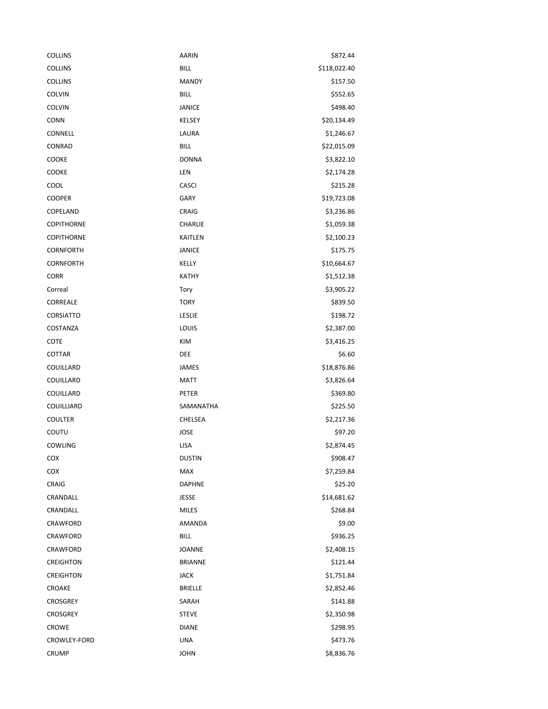| <b>COLLINS</b>    | AARIN            | \$872.44     |
|-------------------|------------------|--------------|
| <b>COLLINS</b>    | <b>BILL</b>      | \$118,022.40 |
| <b>COLLINS</b>    | <b>MANDY</b>     | \$157.50     |
| <b>COLVIN</b>     | <b>BILL</b>      | \$552.65     |
| <b>COLVIN</b>     | <b>JANICE</b>    | \$498.40     |
| <b>CONN</b>       | KELSEY           | \$20,134.49  |
| CONNELL           | LAURA            | \$1,246.67   |
| CONRAD            | <b>BILL</b>      | \$22,015.09  |
| COOKE             | <b>DONNA</b>     | \$3,822.10   |
| COOKE             | LEN              | \$2,174.28   |
| COOL              | <b>CASCI</b>     | \$215.28     |
| <b>COOPER</b>     | <b>GARY</b>      | \$19,723.08  |
| COPELAND          | CRAIG            | \$3,236.86   |
| COPITHORNE        | CHARLIE          | \$1,059.38   |
| <b>COPITHORNE</b> | <b>KAITLEN</b>   | \$2,100.23   |
| <b>CORNFORTH</b>  | <b>JANICE</b>    | \$175.75     |
| <b>CORNFORTH</b>  | KELLY            | \$10,664.67  |
| <b>CORR</b>       | KATHY            | \$1,512.38   |
| Correal           | Tory             | \$3,905.22   |
| CORREALE          | <b>TORY</b>      | \$839.50     |
| CORSIATTO         | LESLIE           | \$198.72     |
| COSTANZA          | LOUIS            | \$2,387.00   |
| COTE              | KIM              | \$3,416.25   |
| COTTAR            | DEE              | \$6.60       |
| COUILLARD         | JAMES            | \$18,876.86  |
| COUILLARD         | <b>MATT</b>      | \$3,826.64   |
| COUILLARD         | PETER            | \$369.80     |
| COUILLIARD        | <b>SAMANATHA</b> | \$225.50     |
| <b>COULTER</b>    | CHELSEA          | \$2,217.36   |
| COUTU             | <b>JOSE</b>      | \$97.20      |
| COWLING           | <b>LISA</b>      | \$2,874.45   |
| COX               | <b>DUSTIN</b>    | \$908.47     |
| COX               | MAX              | \$7,259.84   |
| CRAIG             | <b>DAPHNE</b>    | \$25.20      |
| CRANDALL          | <b>JESSE</b>     | \$14,681.62  |
| CRANDALL          | <b>MILES</b>     | \$268.84     |
| CRAWFORD          | AMANDA           | \$9.00       |
| CRAWFORD          | <b>BILL</b>      | \$936.25     |
| CRAWFORD          | JOANNE           | \$2,408.15   |
| CREIGHTON         | <b>BRIANNE</b>   | \$121.44     |
| <b>CREIGHTON</b>  | JACK             | \$1,751.84   |
| CROAKE            | <b>BRIELLE</b>   | \$2,852.46   |
| <b>CROSGREY</b>   | SARAH            | \$141.88     |
| <b>CROSGREY</b>   | <b>STEVE</b>     | \$2,350.98   |
| CROWE             | <b>DIANE</b>     | \$298.95     |
| CROWLEY-FORD      | <b>UNA</b>       | \$473.76     |
| CRUMP             | <b>JOHN</b>      | \$8,836.76   |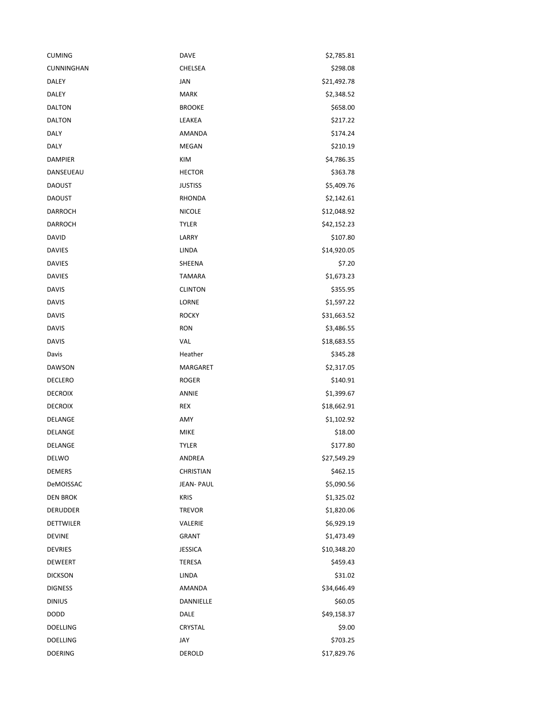| <b>CUMING</b>    | DAVE              | \$2,785.81  |
|------------------|-------------------|-------------|
| CUNNINGHAN       | CHELSEA           | \$298.08    |
| <b>DALEY</b>     | JAN               | \$21,492.78 |
| DALEY            | <b>MARK</b>       | \$2,348.52  |
| DALTON           | <b>BROOKE</b>     | \$658.00    |
| DALTON           | LEAKEA            | \$217.22    |
| <b>DALY</b>      | AMANDA            | \$174.24    |
| DALY             | <b>MEGAN</b>      | \$210.19    |
| <b>DAMPIER</b>   | KIM               | \$4,786.35  |
| DANSEUEAU        | <b>HECTOR</b>     | \$363.78    |
| <b>DAOUST</b>    | <b>JUSTISS</b>    | \$5,409.76  |
| <b>DAOUST</b>    | RHONDA            | \$2,142.61  |
| DARROCH          | <b>NICOLE</b>     | \$12,048.92 |
| <b>DARROCH</b>   | <b>TYLER</b>      | \$42,152.23 |
| <b>DAVID</b>     | LARRY             | \$107.80    |
| <b>DAVIES</b>    | LINDA             | \$14,920.05 |
| <b>DAVIES</b>    | SHEENA            | \$7.20      |
| <b>DAVIES</b>    | <b>TAMARA</b>     | \$1,673.23  |
| <b>DAVIS</b>     | <b>CLINTON</b>    | \$355.95    |
| <b>DAVIS</b>     | LORNE             | \$1,597.22  |
| <b>DAVIS</b>     | <b>ROCKY</b>      | \$31,663.52 |
| <b>DAVIS</b>     | <b>RON</b>        | \$3,486.55  |
| <b>DAVIS</b>     | VAL               | \$18,683.55 |
| Davis            | Heather           | \$345.28    |
| DAWSON           | MARGARET          | \$2,317.05  |
| <b>DECLERO</b>   | <b>ROGER</b>      | \$140.91    |
| <b>DECROIX</b>   | <b>ANNIE</b>      | \$1,399.67  |
| <b>DECROIX</b>   | <b>REX</b>        | \$18,662.91 |
| DELANGE          | AMY               | \$1,102.92  |
| DELANGE          | <b>MIKE</b>       | \$18.00     |
| DELANGE          | <b>TYLER</b>      | \$177.80    |
| DELWO            | ANDREA            | \$27,549.29 |
| <b>DEMERS</b>    | CHRISTIAN         | \$462.15    |
| DeMOISSAC        | <b>JEAN- PAUL</b> | \$5,090.56  |
| <b>DEN BROK</b>  | <b>KRIS</b>       | \$1,325.02  |
| <b>DERUDDER</b>  | <b>TREVOR</b>     | \$1,820.06  |
| <b>DETTWILER</b> | VALERIE           | \$6,929.19  |
| <b>DEVINE</b>    | <b>GRANT</b>      | \$1,473.49  |
| <b>DEVRIES</b>   | <b>JESSICA</b>    | \$10,348.20 |
| DEWEERT          | <b>TERESA</b>     | \$459.43    |
| <b>DICKSON</b>   | LINDA             | \$31.02     |
| <b>DIGNESS</b>   | AMANDA            | \$34,646.49 |
| <b>DINIUS</b>    | DANNIELLE         | \$60.05     |
| <b>DODD</b>      | DALE              | \$49,158.37 |
| <b>DOELLING</b>  | CRYSTAL           | \$9.00      |
| <b>DOELLING</b>  | JAY               | \$703.25    |
| <b>DOERING</b>   | DEROLD            | \$17,829.76 |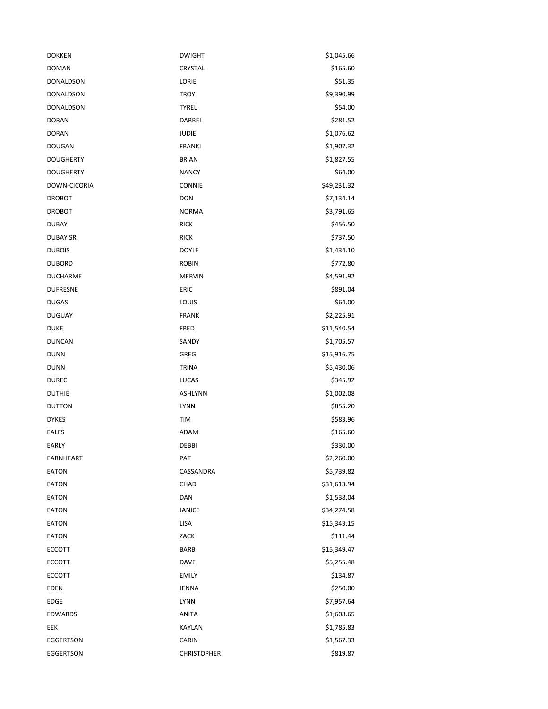| <b>DOKKEN</b>    | <b>DWIGHT</b>      | \$1,045.66  |
|------------------|--------------------|-------------|
| <b>DOMAN</b>     | CRYSTAL            | \$165.60    |
| DONALDSON        | LORIE              | \$51.35     |
| <b>DONALDSON</b> | <b>TROY</b>        | \$9,390.99  |
| DONALDSON        | <b>TYREL</b>       | \$54.00     |
| <b>DORAN</b>     | DARREL             | \$281.52    |
| <b>DORAN</b>     | <b>JUDIE</b>       | \$1,076.62  |
| <b>DOUGAN</b>    | <b>FRANKI</b>      | \$1,907.32  |
| <b>DOUGHERTY</b> | <b>BRIAN</b>       | \$1,827.55  |
| <b>DOUGHERTY</b> | <b>NANCY</b>       | \$64.00     |
| DOWN-CICORIA     | <b>CONNIE</b>      | \$49,231.32 |
| <b>DROBOT</b>    | <b>DON</b>         | \$7,134.14  |
| <b>DROBOT</b>    | <b>NORMA</b>       | \$3,791.65  |
| <b>DUBAY</b>     | <b>RICK</b>        | \$456.50    |
| DUBAY SR.        | <b>RICK</b>        | \$737.50    |
| <b>DUBOIS</b>    | <b>DOYLE</b>       | \$1,434.10  |
| <b>DUBORD</b>    | <b>ROBIN</b>       | \$772.80    |
| <b>DUCHARME</b>  | <b>MERVIN</b>      | \$4,591.92  |
| <b>DUFRESNE</b>  | <b>ERIC</b>        | \$891.04    |
| <b>DUGAS</b>     | LOUIS              | \$64.00     |
| <b>DUGUAY</b>    | <b>FRANK</b>       | \$2,225.91  |
| <b>DUKE</b>      | <b>FRED</b>        | \$11,540.54 |
| <b>DUNCAN</b>    | SANDY              | \$1,705.57  |
| <b>DUNN</b>      | GREG               | \$15,916.75 |
| DUNN             | <b>TRINA</b>       | \$5,430.06  |
| <b>DUREC</b>     | <b>LUCAS</b>       | \$345.92    |
| <b>DUTHIE</b>    | <b>ASHLYNN</b>     | \$1,002.08  |
| <b>DUTTON</b>    | <b>LYNN</b>        | \$855.20    |
| <b>DYKES</b>     | TIM                | \$583.96    |
| <b>EALES</b>     | ADAM               | \$165.60    |
| EARLY            | DEBBI              | \$330.00    |
| EARNHEART        | PAT                | \$2,260.00  |
| <b>EATON</b>     | CASSANDRA          | \$5,739.82  |
| <b>EATON</b>     | CHAD               | \$31,613.94 |
| <b>EATON</b>     | DAN                | \$1,538.04  |
| EATON            | <b>JANICE</b>      | \$34,274.58 |
| EATON            | LISA               | \$15,343.15 |
| <b>EATON</b>     | ZACK               | \$111.44    |
| <b>ECCOTT</b>    | <b>BARB</b>        | \$15,349.47 |
| <b>ECCOTT</b>    | <b>DAVE</b>        | \$5,255.48  |
| <b>ECCOTT</b>    | <b>EMILY</b>       | \$134.87    |
| EDEN             | JENNA              | \$250.00    |
| EDGE             | <b>LYNN</b>        | \$7,957.64  |
| EDWARDS          | <b>ANITA</b>       | \$1,608.65  |
| EEK              | <b>KAYLAN</b>      | \$1,785.83  |
| EGGERTSON        | CARIN              | \$1,567.33  |
| EGGERTSON        | <b>CHRISTOPHER</b> | \$819.87    |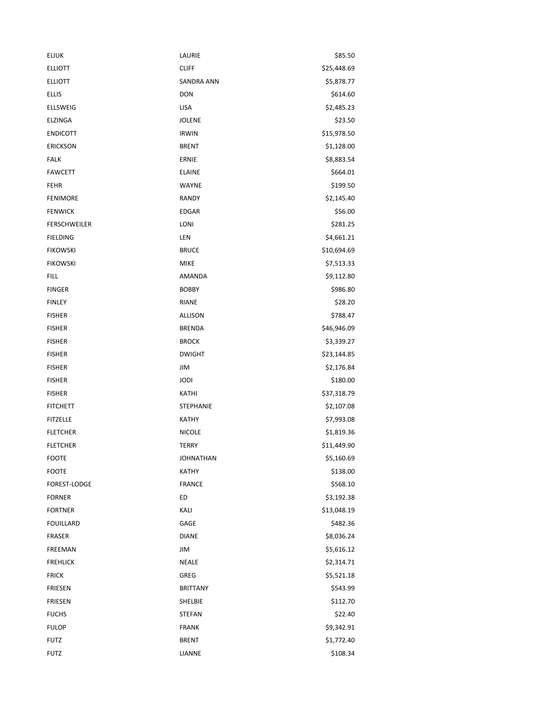| <b>ELIUK</b>        | LAURIE           | \$85.50     |
|---------------------|------------------|-------------|
| <b>ELLIOTT</b>      | <b>CLIFF</b>     | \$25,448.69 |
| <b>ELLIOTT</b>      | SANDRA ANN       | \$5,878.77  |
| <b>ELLIS</b>        | <b>DON</b>       | \$614.60    |
| ELLSWEIG            | LISA             | \$2,485.23  |
| <b>ELZINGA</b>      | <b>JOLENE</b>    | \$23.50     |
| <b>ENDICOTT</b>     | <b>IRWIN</b>     | \$15,978.50 |
| <b>ERICKSON</b>     | <b>BRENT</b>     | \$1,128.00  |
| <b>FALK</b>         | ERNIE            | \$8,883.54  |
| <b>FAWCETT</b>      | <b>ELAINE</b>    | \$664.01    |
| <b>FEHR</b>         | WAYNE            | \$199.50    |
| <b>FENIMORE</b>     | <b>RANDY</b>     | \$2,145.40  |
| <b>FENWICK</b>      | <b>EDGAR</b>     | \$56.00     |
| <b>FERSCHWEILER</b> | LONI             | \$281.25    |
| <b>FIELDING</b>     | LEN              | \$4,661.21  |
| <b>FIKOWSKI</b>     | <b>BRUCE</b>     | \$10,694.69 |
| <b>FIKOWSKI</b>     | <b>MIKE</b>      | \$7,513.33  |
| <b>FILL</b>         | AMANDA           | \$9,112.80  |
| <b>FINGER</b>       | <b>BOBBY</b>     | \$986.80    |
| <b>FINLEY</b>       | <b>RIANE</b>     | \$28.20     |
| <b>FISHER</b>       | <b>ALLISON</b>   | \$788.47    |
| <b>FISHER</b>       | <b>BRENDA</b>    | \$46,946.09 |
| <b>FISHER</b>       | <b>BROCK</b>     | \$3,339.27  |
| <b>FISHER</b>       | <b>DWIGHT</b>    | \$23,144.85 |
| <b>FISHER</b>       | JIM              | \$2,176.84  |
| <b>FISHER</b>       | <b>JODI</b>      | \$180.00    |
| <b>FISHER</b>       | KATHI            | \$37,318.79 |
| <b>FITCHETT</b>     | <b>STEPHANIE</b> | \$2,107.08  |
| <b>FITZELLE</b>     | KATHY            | \$7,993.08  |
| <b>FLETCHER</b>     | <b>NICOLE</b>    | \$1,819.36  |
| <b>FLETCHER</b>     | <b>TERRY</b>     | \$11,449.90 |
| <b>FOOTE</b>        | <b>JOHNATHAN</b> | \$5,160.69  |
| <b>FOOTE</b>        | <b>KATHY</b>     | \$138.00    |
| FOREST-LODGE        | <b>FRANCE</b>    | \$568.10    |
| <b>FORNER</b>       | ED               | \$3,192.38  |
| <b>FORTNER</b>      | KALI             | \$13,048.19 |
| <b>FOUILLARD</b>    | GAGE             | \$482.36    |
| FRASER              | <b>DIANE</b>     | \$8,036.24  |
| FREEMAN             | JIM              | \$5,616.12  |
| <b>FREHLICK</b>     | <b>NEALE</b>     | \$2,314.71  |
| <b>FRICK</b>        | <b>GREG</b>      | \$5,521.18  |
| <b>FRIESEN</b>      | <b>BRITTANY</b>  | \$543.99    |
| <b>FRIESEN</b>      | SHELBIE          | \$112.70    |
| <b>FUCHS</b>        | <b>STEFAN</b>    | \$22.40     |
| <b>FULOP</b>        | <b>FRANK</b>     | \$9,342.91  |
| <b>FUTZ</b>         | <b>BRENT</b>     | \$1,772.40  |
| <b>FUTZ</b>         | LIANNE           | \$108.34    |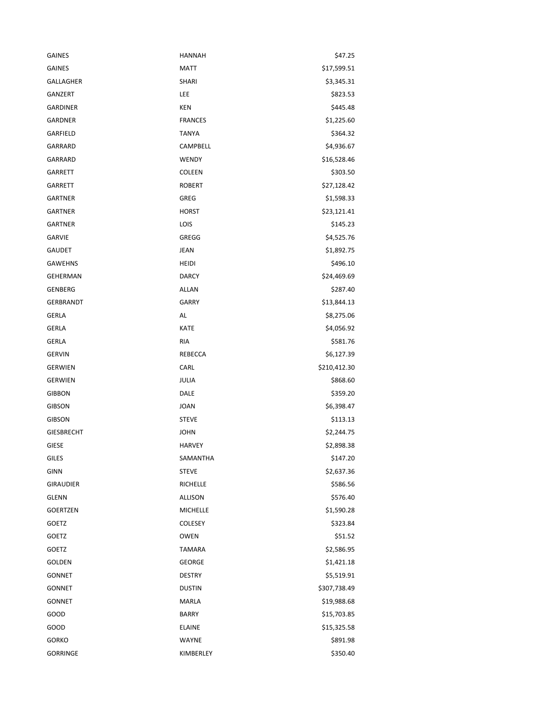| <b>GAINES</b>     | <b>HANNAH</b>   | \$47.25      |
|-------------------|-----------------|--------------|
| <b>GAINES</b>     | <b>MATT</b>     | \$17,599.51  |
| <b>GALLAGHER</b>  | SHARI           | \$3,345.31   |
| <b>GANZERT</b>    | LEE             | \$823.53     |
| <b>GARDINER</b>   | <b>KEN</b>      | \$445.48     |
| <b>GARDNER</b>    | <b>FRANCES</b>  | \$1,225.60   |
| GARFIELD          | <b>TANYA</b>    | \$364.32     |
| GARRARD           | <b>CAMPBELL</b> | \$4,936.67   |
| GARRARD           | WENDY           | \$16,528.46  |
| <b>GARRETT</b>    | COLEEN          | \$303.50     |
| <b>GARRETT</b>    | <b>ROBERT</b>   | \$27,128.42  |
| <b>GARTNER</b>    | GREG            | \$1,598.33   |
| <b>GARTNER</b>    | <b>HORST</b>    | \$23,121.41  |
| <b>GARTNER</b>    | LOIS            | \$145.23     |
| <b>GARVIE</b>     | GREGG           | \$4,525.76   |
| <b>GAUDET</b>     | <b>JEAN</b>     | \$1,892.75   |
| <b>GAWEHNS</b>    | <b>HEIDI</b>    | \$496.10     |
| <b>GEHERMAN</b>   | <b>DARCY</b>    | \$24,469.69  |
| <b>GENBERG</b>    | ALLAN           | \$287.40     |
| GERBRANDT         | <b>GARRY</b>    | \$13,844.13  |
| GERLA             | AL              | \$8,275.06   |
| <b>GERLA</b>      | <b>KATE</b>     | \$4,056.92   |
| <b>GERLA</b>      | <b>RIA</b>      | \$581.76     |
| <b>GERVIN</b>     | REBECCA         | \$6,127.39   |
| <b>GERWIEN</b>    | CARL            | \$210,412.30 |
| <b>GERWIEN</b>    | JULIA           | \$868.60     |
| <b>GIBBON</b>     | DALE            | \$359.20     |
| <b>GIBSON</b>     | <b>JOAN</b>     | \$6,398.47   |
| <b>GIBSON</b>     | <b>STEVE</b>    | \$113.13     |
| <b>GIESBRECHT</b> | <b>JOHN</b>     | \$2,244.75   |
| <b>GIESE</b>      | <b>HARVEY</b>   | \$2,898.38   |
| GILES             | SAMANTHA        | \$147.20     |
| <b>GINN</b>       | <b>STEVE</b>    | \$2,637.36   |
| <b>GIRAUDIER</b>  | <b>RICHELLE</b> | \$586.56     |
| <b>GLENN</b>      | <b>ALLISON</b>  | \$576.40     |
| <b>GOERTZEN</b>   | <b>MICHELLE</b> | \$1,590.28   |
| GOETZ             | <b>COLESEY</b>  | \$323.84     |
| GOETZ             | <b>OWEN</b>     | \$51.52      |
| <b>GOETZ</b>      | <b>TAMARA</b>   | \$2,586.95   |
| GOLDEN            | <b>GEORGE</b>   | \$1,421.18   |
| <b>GONNET</b>     | <b>DESTRY</b>   | \$5,519.91   |
| <b>GONNET</b>     | <b>DUSTIN</b>   | \$307,738.49 |
| <b>GONNET</b>     | MARLA           | \$19,988.68  |
| GOOD              | <b>BARRY</b>    | \$15,703.85  |
| GOOD              | <b>ELAINE</b>   | \$15,325.58  |
| GORKO             | WAYNE           | \$891.98     |
| <b>GORRINGE</b>   | KIMBERLEY       | \$350.40     |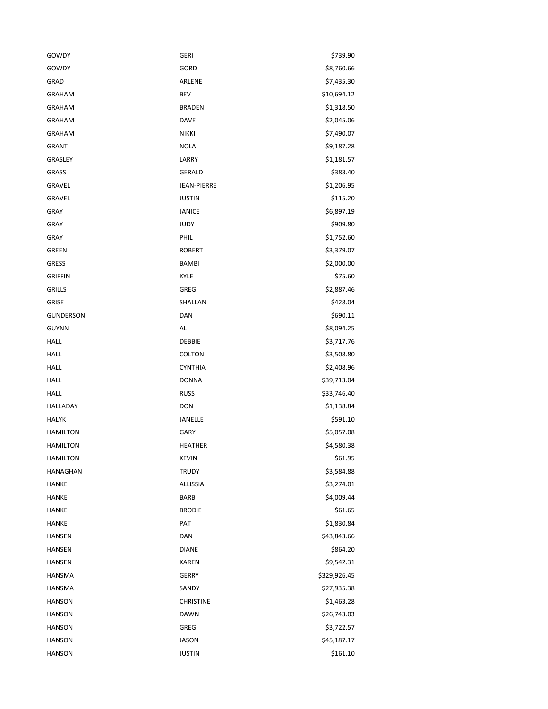| GOWDY            | <b>GERI</b>        | \$739.90     |
|------------------|--------------------|--------------|
| GOWDY            | GORD               | \$8,760.66   |
| GRAD             | ARLENE             | \$7,435.30   |
| <b>GRAHAM</b>    | BEV                | \$10,694.12  |
| <b>GRAHAM</b>    | <b>BRADEN</b>      | \$1,318.50   |
| <b>GRAHAM</b>    | DAVE               | \$2,045.06   |
| <b>GRAHAM</b>    | <b>NIKKI</b>       | \$7,490.07   |
| <b>GRANT</b>     | <b>NOLA</b>        | \$9,187.28   |
| GRASLEY          | LARRY              | \$1,181.57   |
| <b>GRASS</b>     | GERALD             | \$383.40     |
| GRAVEL           | <b>JEAN-PIERRE</b> | \$1,206.95   |
| GRAVEL           | <b>JUSTIN</b>      | \$115.20     |
| <b>GRAY</b>      | JANICE             | \$6,897.19   |
| <b>GRAY</b>      | <b>JUDY</b>        | \$909.80     |
| GRAY             | PHIL               | \$1,752.60   |
| GREEN            | <b>ROBERT</b>      | \$3,379.07   |
| GRESS            | <b>BAMBI</b>       | \$2,000.00   |
| <b>GRIFFIN</b>   | KYLE               | \$75.60      |
| <b>GRILLS</b>    | <b>GREG</b>        | \$2,887.46   |
| <b>GRISE</b>     | SHALLAN            | \$428.04     |
| <b>GUNDERSON</b> | DAN                | \$690.11     |
| <b>GUYNN</b>     | AL                 | \$8,094.25   |
| HALL             | <b>DEBBIE</b>      | \$3,717.76   |
| <b>HALL</b>      | <b>COLTON</b>      | \$3,508.80   |
| HALL             | <b>CYNTHIA</b>     | \$2,408.96   |
| <b>HALL</b>      | <b>DONNA</b>       | \$39,713.04  |
| HALL             | <b>RUSS</b>        | \$33,746.40  |
| HALLADAY         | <b>DON</b>         | \$1,138.84   |
| <b>HALYK</b>     | JANELLE            | \$591.10     |
| <b>HAMILTON</b>  | <b>GARY</b>        | \$5,057.08   |
| <b>HAMILTON</b>  | <b>HEATHER</b>     | \$4,580.38   |
| <b>HAMILTON</b>  | KEVIN              | \$61.95      |
| <b>HANAGHAN</b>  | <b>TRUDY</b>       | \$3,584.88   |
| HANKE            | ALLISSIA           | \$3,274.01   |
| HANKE            | <b>BARB</b>        | \$4,009.44   |
| HANKE            | <b>BRODIE</b>      | \$61.65      |
| HANKE            | PAT                | \$1,830.84   |
| HANSEN           | DAN                | \$43,843.66  |
| HANSEN           | <b>DIANE</b>       | \$864.20     |
| <b>HANSEN</b>    | <b>KAREN</b>       | \$9,542.31   |
| HANSMA           | <b>GERRY</b>       | \$329,926.45 |
| HANSMA           | SANDY              | \$27,935.38  |
| <b>HANSON</b>    | <b>CHRISTINE</b>   | \$1,463.28   |
| <b>HANSON</b>    | <b>DAWN</b>        | \$26,743.03  |
| <b>HANSON</b>    | GREG               | \$3,722.57   |
| <b>HANSON</b>    | JASON              | \$45,187.17  |
| <b>HANSON</b>    | JUSTIN             | \$161.10     |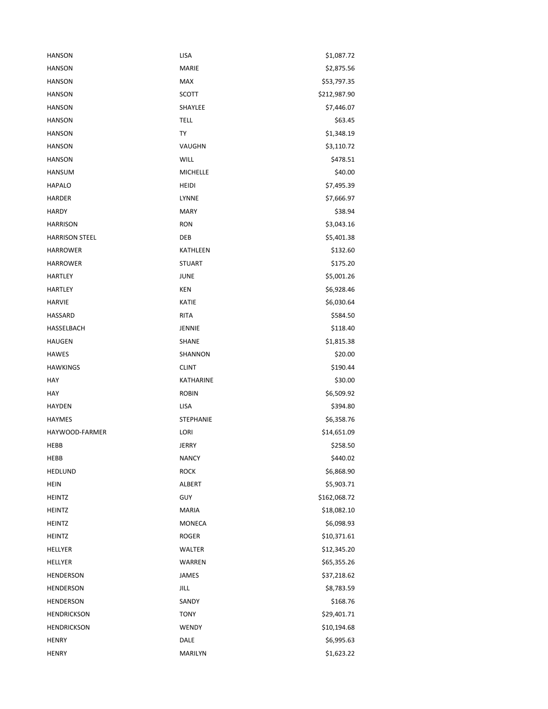| <b>HANSON</b>         | <b>LISA</b>      | \$1,087.72   |
|-----------------------|------------------|--------------|
| <b>HANSON</b>         | <b>MARIE</b>     | \$2,875.56   |
| <b>HANSON</b>         | <b>MAX</b>       | \$53,797.35  |
| <b>HANSON</b>         | <b>SCOTT</b>     | \$212,987.90 |
| <b>HANSON</b>         | SHAYLEE          | \$7,446.07   |
| <b>HANSON</b>         | <b>TELL</b>      | \$63.45      |
| HANSON                | TY               | \$1,348.19   |
| <b>HANSON</b>         | VAUGHN           | \$3,110.72   |
| <b>HANSON</b>         | <b>WILL</b>      | \$478.51     |
| <b>HANSUM</b>         | <b>MICHELLE</b>  | \$40.00      |
| <b>HAPALO</b>         | HEIDI            | \$7,495.39   |
| <b>HARDER</b>         | LYNNE            | \$7,666.97   |
| <b>HARDY</b>          | <b>MARY</b>      | \$38.94      |
| <b>HARRISON</b>       | <b>RON</b>       | \$3,043.16   |
| <b>HARRISON STEEL</b> | DEB              | \$5,401.38   |
| <b>HARROWER</b>       | <b>KATHLEEN</b>  | \$132.60     |
| <b>HARROWER</b>       | <b>STUART</b>    | \$175.20     |
| HARTLEY               | JUNE             | \$5,001.26   |
| <b>HARTLEY</b>        | KEN              | \$6,928.46   |
| <b>HARVIE</b>         | KATIE            | \$6,030.64   |
| HASSARD               | <b>RITA</b>      | \$584.50     |
| HASSELBACH            | JENNIE           | \$118.40     |
| <b>HAUGEN</b>         | <b>SHANE</b>     | \$1,815.38   |
| <b>HAWES</b>          | SHANNON          | \$20.00      |
| <b>HAWKINGS</b>       | <b>CLINT</b>     | \$190.44     |
| HAY                   | KATHARINE        | \$30.00      |
| HAY                   | <b>ROBIN</b>     | \$6,509.92   |
| <b>HAYDEN</b>         | LISA             | \$394.80     |
| <b>HAYMES</b>         | <b>STEPHANIE</b> | \$6,358.76   |
| HAYWOOD-FARMER        | LORI             | \$14,651.09  |
| HEBB                  | <b>JERRY</b>     | \$258.50     |
| HEBB                  | <b>NANCY</b>     | \$440.02     |
| <b>HEDLUND</b>        | <b>ROCK</b>      | \$6,868.90   |
| <b>HEIN</b>           | ALBERT           | \$5,903.71   |
| <b>HEINTZ</b>         | <b>GUY</b>       | \$162,068.72 |
| <b>HEINTZ</b>         | <b>MARIA</b>     | \$18,082.10  |
| <b>HEINTZ</b>         | MONECA           | \$6,098.93   |
| <b>HEINTZ</b>         | <b>ROGER</b>     | \$10,371.61  |
| HELLYER               | WALTER           | \$12,345.20  |
| HELLYER               | WARREN           | \$65,355.26  |
| <b>HENDERSON</b>      | <b>JAMES</b>     | \$37,218.62  |
| <b>HENDERSON</b>      | JILL             | \$8,783.59   |
| <b>HENDERSON</b>      | SANDY            | \$168.76     |
| <b>HENDRICKSON</b>    | <b>TONY</b>      | \$29,401.71  |
| <b>HENDRICKSON</b>    | WENDY            | \$10,194.68  |
| <b>HENRY</b>          | DALE             | \$6,995.63   |
| <b>HENRY</b>          | MARILYN          | \$1,623.22   |
|                       |                  |              |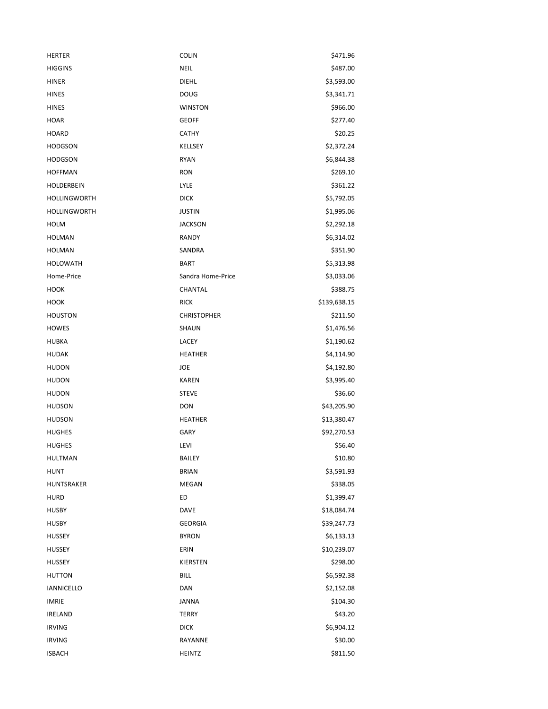| <b>HERTER</b>       | <b>COLIN</b>       | \$471.96     |
|---------------------|--------------------|--------------|
| <b>HIGGINS</b>      | <b>NEIL</b>        | \$487.00     |
| <b>HINER</b>        | DIEHL              | \$3,593.00   |
| <b>HINES</b>        | <b>DOUG</b>        | \$3,341.71   |
| <b>HINES</b>        | <b>WINSTON</b>     | \$966.00     |
| <b>HOAR</b>         | <b>GEOFF</b>       | \$277.40     |
| <b>HOARD</b>        | <b>CATHY</b>       | \$20.25      |
| <b>HODGSON</b>      | KELLSEY            | \$2,372.24   |
| <b>HODGSON</b>      | <b>RYAN</b>        | \$6,844.38   |
| <b>HOFFMAN</b>      | <b>RON</b>         | \$269.10     |
| HOLDERBEIN          | LYLE               | \$361.22     |
| <b>HOLLINGWORTH</b> | <b>DICK</b>        | \$5,792.05   |
| <b>HOLLINGWORTH</b> | <b>JUSTIN</b>      | \$1,995.06   |
| HOLM                | <b>JACKSON</b>     | \$2,292.18   |
| <b>HOLMAN</b>       | RANDY              | \$6,314.02   |
| <b>HOLMAN</b>       | SANDRA             | \$351.90     |
| <b>HOLOWATH</b>     | <b>BART</b>        | \$5,313.98   |
| Home-Price          | Sandra Home-Price  | \$3,033.06   |
| HOOK                | CHANTAL            | \$388.75     |
| HOOK                | <b>RICK</b>        | \$139,638.15 |
| <b>HOUSTON</b>      | <b>CHRISTOPHER</b> | \$211.50     |
| HOWES               | SHAUN              | \$1,476.56   |
| <b>HUBKA</b>        | LACEY              | \$1,190.62   |
| <b>HUDAK</b>        | <b>HEATHER</b>     | \$4,114.90   |
| <b>HUDON</b>        | JOE                | \$4,192.80   |
| <b>HUDON</b>        | <b>KAREN</b>       | \$3,995.40   |
| <b>HUDON</b>        | <b>STEVE</b>       | \$36.60      |
| <b>HUDSON</b>       | <b>DON</b>         | \$43,205.90  |
| <b>HUDSON</b>       | <b>HEATHER</b>     | \$13,380.47  |
| <b>HUGHES</b>       | <b>GARY</b>        | \$92,270.53  |
| <b>HUGHES</b>       | LEVI               | \$56.40      |
| HULTMAN             | <b>BAILEY</b>      | \$10.80      |
| <b>HUNT</b>         | <b>BRIAN</b>       | \$3,591.93   |
| HUNTSRAKER          | <b>MEGAN</b>       | \$338.05     |
| <b>HURD</b>         | ED                 | \$1,399.47   |
| <b>HUSBY</b>        | <b>DAVE</b>        | \$18,084.74  |
| <b>HUSBY</b>        | <b>GEORGIA</b>     | \$39,247.73  |
| <b>HUSSEY</b>       | <b>BYRON</b>       | \$6,133.13   |
| HUSSEY              | ERIN               | \$10,239.07  |
| <b>HUSSEY</b>       | KIERSTEN           | \$298.00     |
| <b>HUTTON</b>       | <b>BILL</b>        | \$6,592.38   |
| <b>IANNICELLO</b>   | DAN                | \$2,152.08   |
| <b>IMRIE</b>        | <b>JANNA</b>       | \$104.30     |
| <b>IRELAND</b>      | <b>TERRY</b>       | \$43.20      |
| <b>IRVING</b>       | <b>DICK</b>        | \$6,904.12   |
| <b>IRVING</b>       | RAYANNE            | \$30.00      |
| ISBACH              | <b>HEINTZ</b>      | \$811.50     |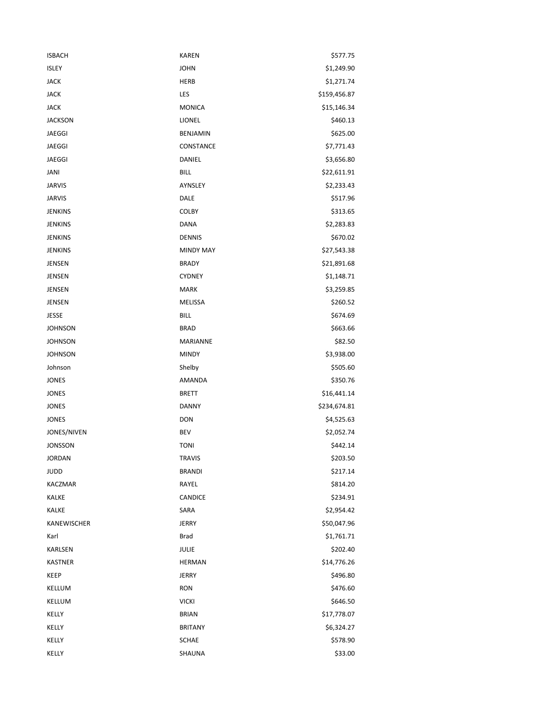| <b>ISBACH</b>  | <b>KAREN</b>     | \$577.75     |
|----------------|------------------|--------------|
| <b>ISLEY</b>   | <b>JOHN</b>      | \$1,249.90   |
| <b>JACK</b>    | <b>HERB</b>      | \$1,271.74   |
| <b>JACK</b>    | LES              | \$159,456.87 |
| <b>JACK</b>    | <b>MONICA</b>    | \$15,146.34  |
| <b>JACKSON</b> | LIONEL           | \$460.13     |
| JAEGGI         | <b>BENJAMIN</b>  | \$625.00     |
| JAEGGI         | CONSTANCE        | \$7,771.43   |
| <b>JAEGGI</b>  | DANIEL           | \$3,656.80   |
| JANI           | <b>BILL</b>      | \$22,611.91  |
| <b>JARVIS</b>  | AYNSLEY          | \$2,233.43   |
| <b>JARVIS</b>  | DALE             | \$517.96     |
| <b>JENKINS</b> | <b>COLBY</b>     | \$313.65     |
| <b>JENKINS</b> | <b>DANA</b>      | \$2,283.83   |
| <b>JENKINS</b> | <b>DENNIS</b>    | \$670.02     |
| <b>JENKINS</b> | <b>MINDY MAY</b> | \$27,543.38  |
| JENSEN         | <b>BRADY</b>     | \$21,891.68  |
| JENSEN         | <b>CYDNEY</b>    | \$1,148.71   |
| JENSEN         | <b>MARK</b>      | \$3,259.85   |
| JENSEN         | MELISSA          | \$260.52     |
| JESSE          | <b>BILL</b>      | \$674.69     |
| <b>JOHNSON</b> | <b>BRAD</b>      | \$663.66     |
| <b>JOHNSON</b> | MARIANNE         | \$82.50      |
| <b>JOHNSON</b> | <b>MINDY</b>     | \$3,938.00   |
| Johnson        | Shelby           | \$505.60     |
| JONES          | AMANDA           | \$350.76     |
| JONES          | <b>BRETT</b>     | \$16,441.14  |
| JONES          | <b>DANNY</b>     | \$234,674.81 |
| JONES          | <b>DON</b>       | \$4,525.63   |
| JONES/NIVEN    | <b>BEV</b>       | \$2,052.74   |
| JONSSON        | <b>TONI</b>      | \$442.14     |
| JORDAN         | <b>TRAVIS</b>    | \$203.50     |
| JUDD           | <b>BRANDI</b>    | \$217.14     |
| KACZMAR        | RAYEL            | \$814.20     |
| <b>KALKE</b>   | CANDICE          | \$234.91     |
| <b>KALKE</b>   | SARA             | \$2,954.42   |
| KANEWISCHER    | <b>JERRY</b>     | \$50,047.96  |
| Karl           | <b>Brad</b>      | \$1,761.71   |
| KARLSEN        | JULIE            | \$202.40     |
| <b>KASTNER</b> | <b>HERMAN</b>    | \$14,776.26  |
| KEEP           | <b>JERRY</b>     | \$496.80     |
| KELLUM         | <b>RON</b>       | \$476.60     |
| KELLUM         | <b>VICKI</b>     | \$646.50     |
| KELLY          | <b>BRIAN</b>     | \$17,778.07  |
| KELLY          | <b>BRITANY</b>   | \$6,324.27   |
| KELLY          | <b>SCHAE</b>     | \$578.90     |
| KELLY          | SHAUNA           | \$33.00      |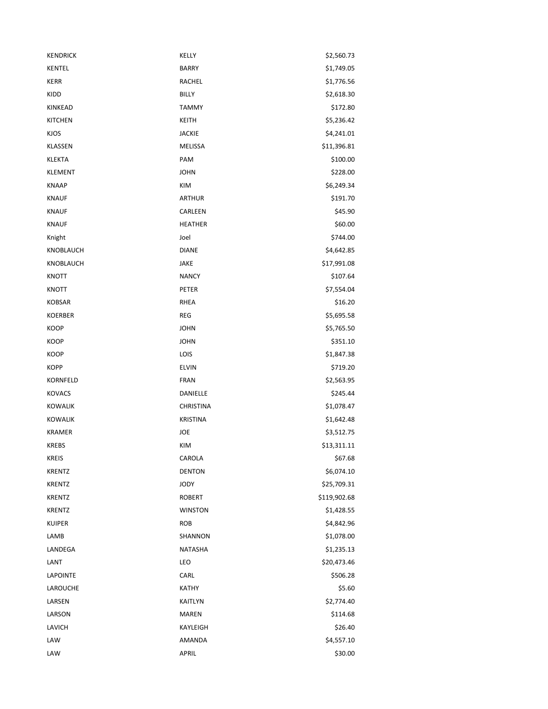| <b>KENDRICK</b> | KELLY            | \$2,560.73   |
|-----------------|------------------|--------------|
| <b>KENTEL</b>   | <b>BARRY</b>     | \$1,749.05   |
| KERR            | RACHEL           | \$1,776.56   |
| KIDD            | <b>BILLY</b>     | \$2,618.30   |
| <b>KINKEAD</b>  | <b>TAMMY</b>     | \$172.80     |
| <b>KITCHEN</b>  | <b>KEITH</b>     | \$5,236.42   |
| <b>KJOS</b>     | <b>JACKIE</b>    | \$4,241.01   |
| KLASSEN         | MELISSA          | \$11,396.81  |
| <b>KLEKTA</b>   | PAM              | \$100.00     |
| <b>KLEMENT</b>  | <b>JOHN</b>      | \$228.00     |
| <b>KNAAP</b>    | KIM              | \$6,249.34   |
| <b>KNAUF</b>    | <b>ARTHUR</b>    | \$191.70     |
| <b>KNAUF</b>    | CARLEEN          | \$45.90      |
| <b>KNAUF</b>    | <b>HEATHER</b>   | \$60.00      |
| Knight          | Joel             | \$744.00     |
| KNOBLAUCH       | <b>DIANE</b>     | \$4,642.85   |
| KNOBLAUCH       | JAKE             | \$17,991.08  |
| <b>KNOTT</b>    | <b>NANCY</b>     | \$107.64     |
| KNOTT           | PETER            | \$7,554.04   |
| <b>KOBSAR</b>   | <b>RHEA</b>      | \$16.20      |
| <b>KOERBER</b>  | <b>REG</b>       | \$5,695.58   |
| KOOP            | <b>JOHN</b>      | \$5,765.50   |
| KOOP            | <b>JOHN</b>      | \$351.10     |
| KOOP            | LOIS             | \$1,847.38   |
| KOPP            | <b>ELVIN</b>     | \$719.20     |
| <b>KORNFELD</b> | <b>FRAN</b>      | \$2,563.95   |
| <b>KOVACS</b>   | DANIELLE         | \$245.44     |
| <b>KOWALIK</b>  | <b>CHRISTINA</b> | \$1,078.47   |
| <b>KOWALIK</b>  | <b>KRISTINA</b>  | \$1,642.48   |
| <b>KRAMER</b>   | JOE              | \$3,512.75   |
| <b>KREBS</b>    | <b>KIM</b>       | \$13,311.11  |
| KREIS           | CAROLA           | \$67.68      |
| <b>KRENTZ</b>   | <b>DENTON</b>    | \$6,074.10   |
| <b>KRENTZ</b>   | <b>JODY</b>      | \$25,709.31  |
| <b>KRENTZ</b>   | <b>ROBERT</b>    | \$119,902.68 |
| <b>KRENTZ</b>   | <b>WINSTON</b>   | \$1,428.55   |
| <b>KUIPER</b>   | <b>ROB</b>       | \$4,842.96   |
| LAMB            | SHANNON          | \$1,078.00   |
| LANDEGA         | <b>NATASHA</b>   | \$1,235.13   |
| LANT            | LEO              | \$20,473.46  |
| LAPOINTE        | CARL             | \$506.28     |
| LAROUCHE        | <b>KATHY</b>     | \$5.60       |
| LARSEN          | KAITLYN          | \$2,774.40   |
| LARSON          | <b>MAREN</b>     | \$114.68     |
| LAVICH          | KAYLEIGH         | \$26.40      |
| LAW             | AMANDA           | \$4,557.10   |
| LAW             | <b>APRIL</b>     | \$30.00      |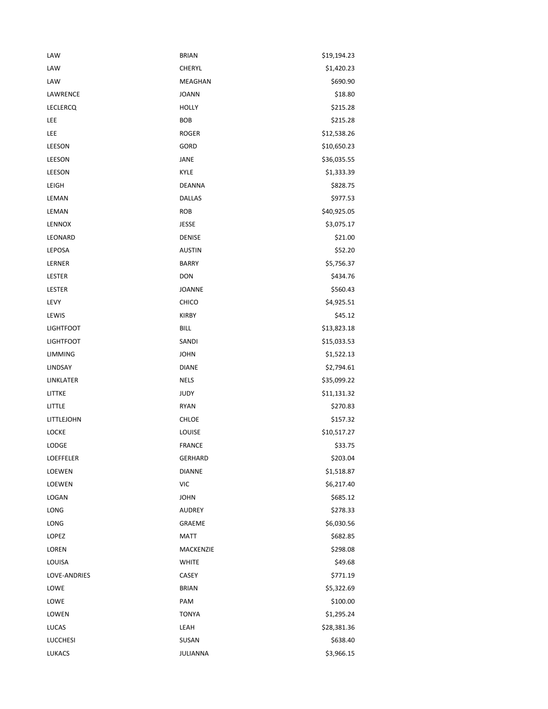| LAW              | <b>BRIAN</b>   | \$19,194.23 |
|------------------|----------------|-------------|
| LAW              | <b>CHERYL</b>  | \$1,420.23  |
| LAW              | <b>MEAGHAN</b> | \$690.90    |
| LAWRENCE         | <b>JOANN</b>   | \$18.80     |
| <b>LECLERCQ</b>  | <b>HOLLY</b>   | \$215.28    |
| LEE              | <b>BOB</b>     | \$215.28    |
| LEE              | <b>ROGER</b>   | \$12,538.26 |
| LEESON           | GORD           | \$10,650.23 |
| LEESON           | JANE           | \$36,035.55 |
| LEESON           | <b>KYLE</b>    | \$1,333.39  |
| LEIGH            | <b>DEANNA</b>  | \$828.75    |
| LEMAN            | <b>DALLAS</b>  | \$977.53    |
| LEMAN            | <b>ROB</b>     | \$40,925.05 |
| LENNOX           | <b>JESSE</b>   | \$3,075.17  |
| LEONARD          | <b>DENISE</b>  | \$21.00     |
| LEPOSA           | <b>AUSTIN</b>  | \$52.20     |
| LERNER           | <b>BARRY</b>   | \$5,756.37  |
| LESTER           | <b>DON</b>     | \$434.76    |
| LESTER           | <b>JOANNE</b>  | \$560.43    |
| LEVY             | CHICO          | \$4,925.51  |
| LEWIS            | <b>KIRBY</b>   | \$45.12     |
| <b>LIGHTFOOT</b> | <b>BILL</b>    | \$13,823.18 |
| <b>LIGHTFOOT</b> | SANDI          | \$15,033.53 |
| <b>LIMMING</b>   | <b>JOHN</b>    | \$1,522.13  |
| LINDSAY          | <b>DIANE</b>   | \$2,794.61  |
| LINKLATER        | <b>NELS</b>    | \$35,099.22 |
| LITTKE           | <b>JUDY</b>    | \$11,131.32 |
| LITTLE           | <b>RYAN</b>    | \$270.83    |
| LITTLEJOHN       | <b>CHLOE</b>   | \$157.32    |
| <b>LOCKE</b>     | LOUISE         | \$10,517.27 |
| LODGE            | <b>FRANCE</b>  | \$33.75     |
| LOEFFELER        | <b>GERHARD</b> | \$203.04    |
| LOEWEN           | <b>DIANNE</b>  | \$1,518.87  |
| LOEWEN           | <b>VIC</b>     | \$6,217.40  |
| LOGAN            | <b>JOHN</b>    | \$685.12    |
| LONG             | <b>AUDREY</b>  | \$278.33    |
| LONG             | GRAEME         | \$6,030.56  |
| LOPEZ            | <b>MATT</b>    | \$682.85    |
| LOREN            | MACKENZIE      | \$298.08    |
| LOUISA           | <b>WHITE</b>   | \$49.68     |
| LOVE-ANDRIES     | CASEY          | \$771.19    |
| LOWE             | <b>BRIAN</b>   | \$5,322.69  |
| LOWE             | PAM            | \$100.00    |
| LOWEN            | <b>TONYA</b>   | \$1,295.24  |
| LUCAS            | LEAH           | \$28,381.36 |
| <b>LUCCHESI</b>  | SUSAN          | \$638.40    |
| LUKACS           | JULIANNA       | \$3,966.15  |
|                  |                |             |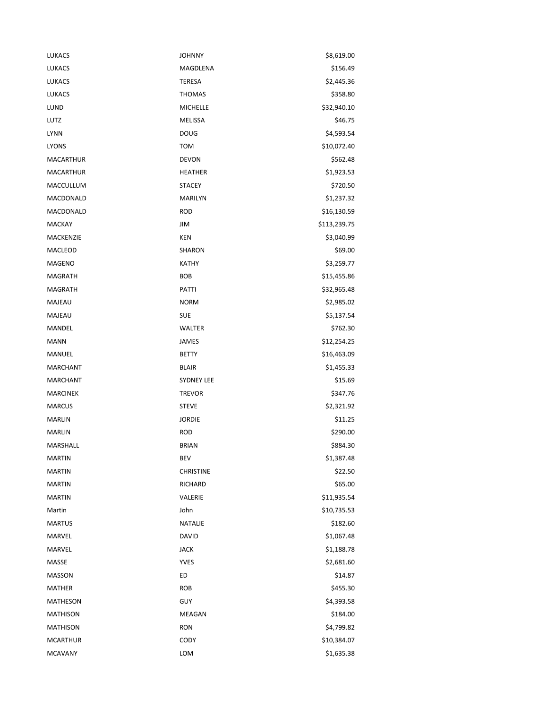| LUKACS           | <b>JOHNNY</b>     | \$8,619.00   |
|------------------|-------------------|--------------|
| <b>LUKACS</b>    | MAGDLENA          | \$156.49     |
| <b>LUKACS</b>    | TERESA            | \$2,445.36   |
| <b>LUKACS</b>    | <b>THOMAS</b>     | \$358.80     |
| LUND             | <b>MICHELLE</b>   | \$32,940.10  |
| LUTZ             | MELISSA           | \$46.75      |
| <b>LYNN</b>      | <b>DOUG</b>       | \$4,593.54   |
| <b>LYONS</b>     | <b>TOM</b>        | \$10,072.40  |
| <b>MACARTHUR</b> | <b>DEVON</b>      | \$562.48     |
| MACARTHUR        | <b>HEATHER</b>    | \$1,923.53   |
| MACCULLUM        | <b>STACEY</b>     | \$720.50     |
| MACDONALD        | MARILYN           | \$1,237.32   |
| MACDONALD        | <b>ROD</b>        | \$16,130.59  |
| <b>MACKAY</b>    | JIM               | \$113,239.75 |
| <b>MACKENZIE</b> | <b>KEN</b>        | \$3,040.99   |
| MACLEOD          | SHARON            | \$69.00      |
| <b>MAGENO</b>    | <b>KATHY</b>      | \$3,259.77   |
| <b>MAGRATH</b>   | BOB               | \$15,455.86  |
| MAGRATH          | PATTI             | \$32,965.48  |
| MAJEAU           | <b>NORM</b>       | \$2,985.02   |
| MAJEAU           | <b>SUE</b>        | \$5,137.54   |
| MANDEL           | WALTER            | \$762.30     |
| <b>MANN</b>      | JAMES             | \$12,254.25  |
| MANUEL           | <b>BETTY</b>      | \$16,463.09  |
| <b>MARCHANT</b>  | <b>BLAIR</b>      | \$1,455.33   |
| <b>MARCHANT</b>  | <b>SYDNEY LEE</b> | \$15.69      |
| <b>MARCINEK</b>  | <b>TREVOR</b>     | \$347.76     |
| <b>MARCUS</b>    | <b>STEVE</b>      | \$2,321.92   |
| <b>MARLIN</b>    | <b>JORDIE</b>     | \$11.25      |
| <b>MARLIN</b>    | <b>ROD</b>        | \$290.00     |
| MARSHALL         | <b>BRIAN</b>      | \$884.30     |
| <b>MARTIN</b>    | BEV               | \$1,387.48   |
| <b>MARTIN</b>    | <b>CHRISTINE</b>  | \$22.50      |
| <b>MARTIN</b>    | RICHARD           | \$65.00      |
| <b>MARTIN</b>    | VALERIE           | \$11,935.54  |
| Martin           | John              | \$10,735.53  |
| <b>MARTUS</b>    | NATALIE           | \$182.60     |
| MARVEL           | <b>DAVID</b>      | \$1,067.48   |
| MARVEL           | <b>JACK</b>       | \$1,188.78   |
| MASSE            | <b>YVES</b>       | \$2,681.60   |
| <b>MASSON</b>    | ED                | \$14.87      |
| MATHER           | ROB               | \$455.30     |
| MATHESON         | <b>GUY</b>        | \$4,393.58   |
| <b>MATHISON</b>  | MEAGAN            | \$184.00     |
| <b>MATHISON</b>  | <b>RON</b>        | \$4,799.82   |
| <b>MCARTHUR</b>  | CODY              | \$10,384.07  |
| <b>MCAVANY</b>   | LOM               | \$1,635.38   |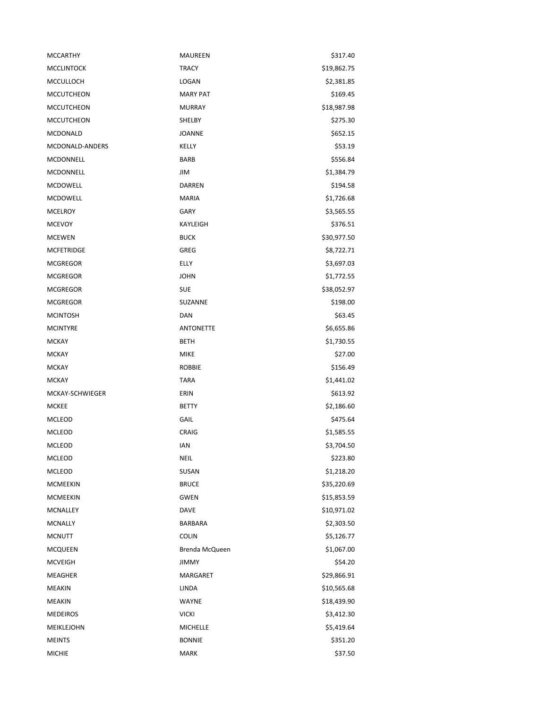| <b>MCCARTHY</b>   | MAUREEN          | \$317.40    |
|-------------------|------------------|-------------|
| <b>MCCLINTOCK</b> | <b>TRACY</b>     | \$19,862.75 |
| MCCULLOCH         | LOGAN            | \$2,381.85  |
| <b>MCCUTCHEON</b> | <b>MARY PAT</b>  | \$169.45    |
| <b>MCCUTCHEON</b> | <b>MURRAY</b>    | \$18,987.98 |
| <b>MCCUTCHEON</b> | SHELBY           | \$275.30    |
| <b>MCDONALD</b>   | <b>JOANNE</b>    | \$652.15    |
| MCDONALD-ANDERS   | KELLY            | \$53.19     |
| MCDONNELL         | <b>BARB</b>      | \$556.84    |
| MCDONNELL         | JIM              | \$1,384.79  |
| <b>MCDOWELL</b>   | <b>DARREN</b>    | \$194.58    |
| MCDOWELL          | <b>MARIA</b>     | \$1,726.68  |
| <b>MCELROY</b>    | GARY             | \$3,565.55  |
| <b>MCEVOY</b>     | KAYLEIGH         | \$376.51    |
| <b>MCEWEN</b>     | <b>BUCK</b>      | \$30,977.50 |
| <b>MCFETRIDGE</b> | GREG             | \$8,722.71  |
| <b>MCGREGOR</b>   | ELLY             | \$3,697.03  |
| <b>MCGREGOR</b>   | <b>JOHN</b>      | \$1,772.55  |
| <b>MCGREGOR</b>   | <b>SUE</b>       | \$38,052.97 |
| <b>MCGREGOR</b>   | SUZANNE          | \$198.00    |
| <b>MCINTOSH</b>   | DAN              | \$63.45     |
| <b>MCINTYRE</b>   | <b>ANTONETTE</b> | \$6,655.86  |
| <b>MCKAY</b>      | BETH             | \$1,730.55  |
| <b>MCKAY</b>      | <b>MIKE</b>      | \$27.00     |
| <b>MCKAY</b>      | <b>ROBBIE</b>    | \$156.49    |
| <b>MCKAY</b>      | <b>TARA</b>      | \$1,441.02  |
| MCKAY-SCHWIEGER   | ERIN             | \$613.92    |
| MCKEE             | <b>BETTY</b>     | \$2,186.60  |
| MCLEOD            | GAIL             | \$475.64    |
| MCLEOD            | <b>CRAIG</b>     | \$1,585.55  |
| MCLEOD            | IAN              | \$3,704.50  |
| MCLEOD            | <b>NEIL</b>      | \$223.80    |
| MCLEOD            | SUSAN            | \$1,218.20  |
| <b>MCMEEKIN</b>   | <b>BRUCE</b>     | \$35,220.69 |
| <b>MCMEEKIN</b>   | <b>GWEN</b>      | \$15,853.59 |
| <b>MCNALLEY</b>   | DAVE             | \$10,971.02 |
| <b>MCNALLY</b>    | <b>BARBARA</b>   | \$2,303.50  |
| <b>MCNUTT</b>     | <b>COLIN</b>     | \$5,126.77  |
| <b>MCQUEEN</b>    | Brenda McQueen   | \$1,067.00  |
| <b>MCVEIGH</b>    | <b>JIMMY</b>     | \$54.20     |
| MEAGHER           | MARGARET         | \$29,866.91 |
| MEAKIN            | LINDA            | \$10,565.68 |
| MEAKIN            | WAYNE            | \$18,439.90 |
| <b>MEDEIROS</b>   | <b>VICKI</b>     | \$3,412.30  |
| MEIKLEJOHN        | <b>MICHELLE</b>  | \$5,419.64  |
| <b>MEINTS</b>     | <b>BONNIE</b>    | \$351.20    |
| <b>MICHIE</b>     | <b>MARK</b>      | \$37.50     |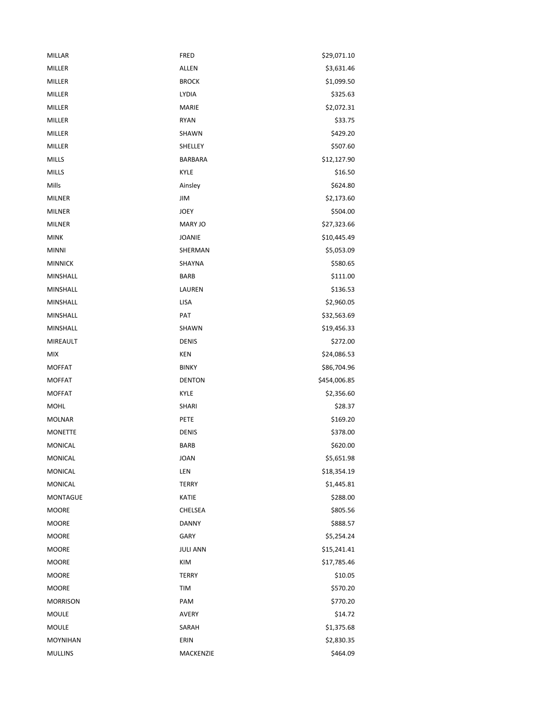| MILLAR          | <b>FRED</b>     | \$29,071.10  |
|-----------------|-----------------|--------------|
| <b>MILLER</b>   | <b>ALLEN</b>    | \$3,631.46   |
| MILLER          | <b>BROCK</b>    | \$1,099.50   |
| <b>MILLER</b>   | LYDIA           | \$325.63     |
| <b>MILLER</b>   | <b>MARIE</b>    | \$2,072.31   |
| MILLER          | <b>RYAN</b>     | \$33.75      |
| <b>MILLER</b>   | SHAWN           | \$429.20     |
| <b>MILLER</b>   | SHELLEY         | \$507.60     |
| <b>MILLS</b>    | <b>BARBARA</b>  | \$12,127.90  |
| <b>MILLS</b>    | KYLE            | \$16.50      |
| Mills           | Ainsley         | \$624.80     |
| <b>MILNER</b>   | JIM             | \$2,173.60   |
| <b>MILNER</b>   | <b>JOEY</b>     | \$504.00     |
| <b>MILNER</b>   | MARY JO         | \$27,323.66  |
| <b>MINK</b>     | JOANIE          | \$10,445.49  |
| <b>MINNI</b>    | SHERMAN         | \$5,053.09   |
| <b>MINNICK</b>  | SHAYNA          | \$580.65     |
| <b>MINSHALL</b> | <b>BARB</b>     | \$111.00     |
| MINSHALL        | LAUREN          | \$136.53     |
| MINSHALL        | <b>LISA</b>     | \$2,960.05   |
| MINSHALL        | PAT             | \$32,563.69  |
| MINSHALL        | SHAWN           | \$19,456.33  |
| MIREAULT        | <b>DENIS</b>    | \$272.00     |
| <b>MIX</b>      | <b>KEN</b>      | \$24,086.53  |
| <b>MOFFAT</b>   | <b>BINKY</b>    | \$86,704.96  |
| <b>MOFFAT</b>   | <b>DENTON</b>   | \$454,006.85 |
| <b>MOFFAT</b>   | <b>KYLE</b>     | \$2,356.60   |
| <b>MOHL</b>     | SHARI           | \$28.37      |
| <b>MOLNAR</b>   | PETE            | \$169.20     |
| <b>MONETTE</b>  | <b>DENIS</b>    | \$378.00     |
| <b>MONICAL</b>  | <b>BARB</b>     | \$620.00     |
| MONICAL         | JOAN            | \$5,651.98   |
| <b>MONICAL</b>  | LEN             | \$18,354.19  |
| <b>MONICAL</b>  | <b>TERRY</b>    | \$1,445.81   |
| MONTAGUE        | KATIE           | \$288.00     |
| <b>MOORE</b>    | CHELSEA         | \$805.56     |
| <b>MOORE</b>    | <b>DANNY</b>    | \$888.57     |
| <b>MOORE</b>    | GARY            | \$5,254.24   |
| <b>MOORE</b>    | <b>JULI ANN</b> | \$15,241.41  |
| <b>MOORE</b>    | KIM             | \$17,785.46  |
| <b>MOORE</b>    | TERRY           | \$10.05      |
| <b>MOORE</b>    | TIM             | \$570.20     |
| <b>MORRISON</b> | PAM             | \$770.20     |
| MOULE           | <b>AVERY</b>    | \$14.72      |
| <b>MOULE</b>    | SARAH           | \$1,375.68   |
| <b>MOYNIHAN</b> | ERIN            | \$2,830.35   |
| <b>MULLINS</b>  | MACKENZIE       | \$464.09     |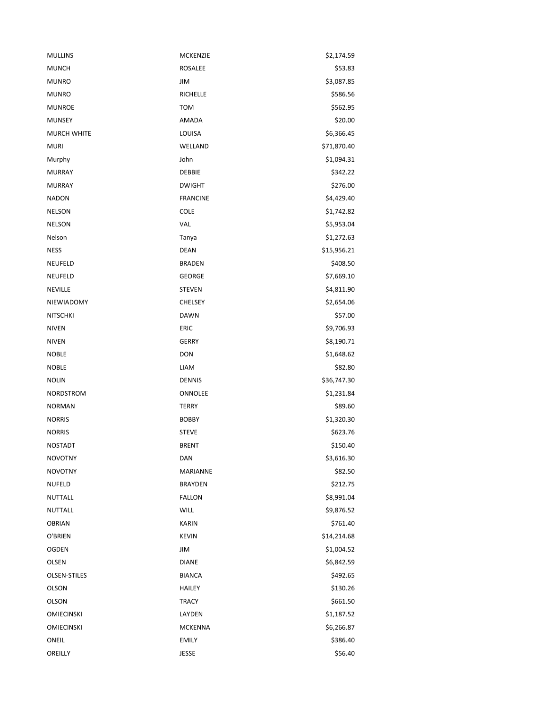| <b>MULLINS</b>    | MCKENZIE        | \$2,174.59  |
|-------------------|-----------------|-------------|
| <b>MUNCH</b>      | <b>ROSALEE</b>  | \$53.83     |
| <b>MUNRO</b>      | JIM             | \$3,087.85  |
| <b>MUNRO</b>      | <b>RICHELLE</b> | \$586.56    |
| <b>MUNROE</b>     | <b>TOM</b>      | \$562.95    |
| <b>MUNSEY</b>     | AMADA           | \$20.00     |
| MURCH WHITE       | LOUISA          | \$6,366.45  |
| <b>MURI</b>       | WELLAND         | \$71,870.40 |
| Murphy            | John            | \$1,094.31  |
| <b>MURRAY</b>     | DEBBIE          | \$342.22    |
| <b>MURRAY</b>     | <b>DWIGHT</b>   | \$276.00    |
| <b>NADON</b>      | <b>FRANCINE</b> | \$4,429.40  |
| <b>NELSON</b>     | COLE            | \$1,742.82  |
| <b>NELSON</b>     | VAL             | \$5,953.04  |
| Nelson            | Tanya           | \$1,272.63  |
| <b>NESS</b>       | <b>DEAN</b>     | \$15,956.21 |
| NEUFELD           | <b>BRADEN</b>   | \$408.50    |
| NEUFELD           | <b>GEORGE</b>   | \$7,669.10  |
| <b>NEVILLE</b>    | <b>STEVEN</b>   | \$4,811.90  |
| NIEWIADOMY        | <b>CHELSEY</b>  | \$2,654.06  |
| <b>NITSCHKI</b>   | <b>DAWN</b>     | \$57.00     |
| <b>NIVEN</b>      | <b>ERIC</b>     | \$9,706.93  |
| <b>NIVEN</b>      | <b>GERRY</b>    | \$8,190.71  |
| <b>NOBLE</b>      | <b>DON</b>      | \$1,648.62  |
| <b>NOBLE</b>      | LIAM            | \$82.80     |
| <b>NOLIN</b>      | <b>DENNIS</b>   | \$36,747.30 |
| NORDSTROM         | ONNOLEE         | \$1,231.84  |
| <b>NORMAN</b>     | <b>TERRY</b>    | \$89.60     |
| <b>NORRIS</b>     | <b>BOBBY</b>    | \$1,320.30  |
| <b>NORRIS</b>     | <b>STEVE</b>    | \$623.76    |
| <b>NOSTADT</b>    | <b>BRENT</b>    | \$150.40    |
| <b>NOVOTNY</b>    | DAN             | \$3,616.30  |
| <b>NOVOTNY</b>    | MARIANNE        | \$82.50     |
| <b>NUFELD</b>     | <b>BRAYDEN</b>  | \$212.75    |
| NUTTALL           | <b>FALLON</b>   | \$8,991.04  |
| NUTTALL           | WILL            | \$9,876.52  |
| <b>OBRIAN</b>     | <b>KARIN</b>    | \$761.40    |
| O'BRIEN           | <b>KEVIN</b>    | \$14,214.68 |
| OGDEN             | JIM             | \$1,004.52  |
| OLSEN             | <b>DIANE</b>    | \$6,842.59  |
| OLSEN-STILES      | <b>BIANCA</b>   | \$492.65    |
| OLSON             | HAILEY          | \$130.26    |
| OLSON             | <b>TRACY</b>    | \$661.50    |
| <b>OMIECINSKI</b> | LAYDEN          | \$1,187.52  |
| <b>OMIECINSKI</b> | <b>MCKENNA</b>  | \$6,266.87  |
| ONEIL             | <b>EMILY</b>    | \$386.40    |
| OREILLY           | JESSE           | \$56.40     |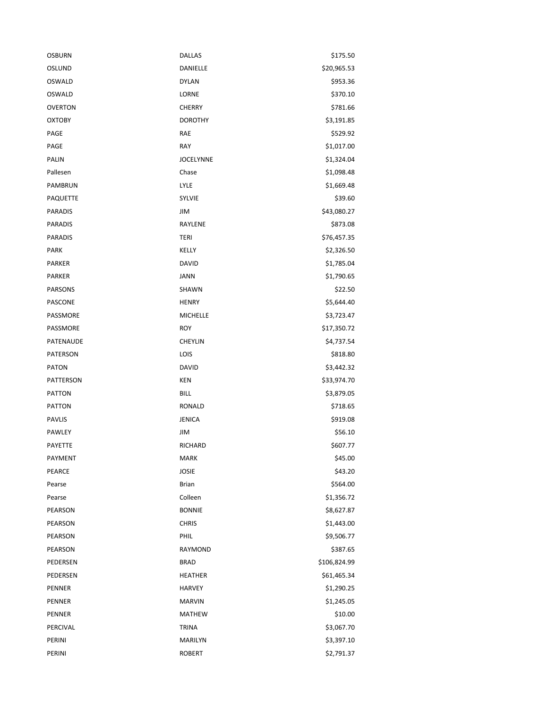| <b>OSBURN</b>  | <b>DALLAS</b>    | \$175.50     |
|----------------|------------------|--------------|
| OSLUND         | DANIELLE         | \$20,965.53  |
| <b>OSWALD</b>  | <b>DYLAN</b>     | \$953.36     |
| OSWALD         | LORNE            | \$370.10     |
| <b>OVERTON</b> | <b>CHERRY</b>    | \$781.66     |
| <b>OXTOBY</b>  | <b>DOROTHY</b>   | \$3,191.85   |
| PAGE           | RAE              | \$529.92     |
| PAGE           | <b>RAY</b>       | \$1,017.00   |
| <b>PALIN</b>   | <b>JOCELYNNE</b> | \$1,324.04   |
| Pallesen       | Chase            | \$1,098.48   |
| PAMBRUN        | LYLE             | \$1,669.48   |
| PAQUETTE       | <b>SYLVIE</b>    | \$39.60      |
| <b>PARADIS</b> | JIM              | \$43,080.27  |
| <b>PARADIS</b> | RAYLENE          | \$873.08     |
| <b>PARADIS</b> | TERI             | \$76,457.35  |
| <b>PARK</b>    | KELLY            | \$2,326.50   |
| <b>PARKER</b>  | <b>DAVID</b>     | \$1,785.04   |
| <b>PARKER</b>  | JANN             | \$1,790.65   |
| <b>PARSONS</b> | SHAWN            | \$22.50      |
| PASCONE        | <b>HENRY</b>     | \$5,644.40   |
| PASSMORE       | <b>MICHELLE</b>  | \$3,723.47   |
| PASSMORE       | <b>ROY</b>       | \$17,350.72  |
| PATENAUDE      | <b>CHEYLIN</b>   | \$4,737.54   |
| PATERSON       | LOIS             | \$818.80     |
| <b>PATON</b>   | <b>DAVID</b>     | \$3,442.32   |
| PATTERSON      | KEN              | \$33,974.70  |
| <b>PATTON</b>  | <b>BILL</b>      | \$3,879.05   |
| <b>PATTON</b>  | <b>RONALD</b>    | \$718.65     |
| <b>PAVLIS</b>  | <b>JENICA</b>    | \$919.08     |
| PAWLEY         | JIM              | \$56.10      |
| <b>PAYETTE</b> | <b>RICHARD</b>   | \$607.77     |
| PAYMENT        | MARK             | \$45.00      |
| PEARCE         | <b>JOSIE</b>     | \$43.20      |
| Pearse         | <b>Brian</b>     | \$564.00     |
| Pearse         | Colleen          | \$1,356.72   |
| PEARSON        | <b>BONNIE</b>    | \$8,627.87   |
| PEARSON        | <b>CHRIS</b>     | \$1,443.00   |
| PEARSON        | PHIL             | \$9,506.77   |
| PEARSON        | RAYMOND          | \$387.65     |
| PEDERSEN       | <b>BRAD</b>      | \$106,824.99 |
| PEDERSEN       | <b>HEATHER</b>   | \$61,465.34  |
| <b>PENNER</b>  | <b>HARVEY</b>    | \$1,290.25   |
| <b>PENNER</b>  | <b>MARVIN</b>    | \$1,245.05   |
| <b>PENNER</b>  | <b>MATHEW</b>    | \$10.00      |
| PERCIVAL       | <b>TRINA</b>     | \$3,067.70   |
| PERINI         | MARILYN          | \$3,397.10   |
| PERINI         | <b>ROBERT</b>    | \$2,791.37   |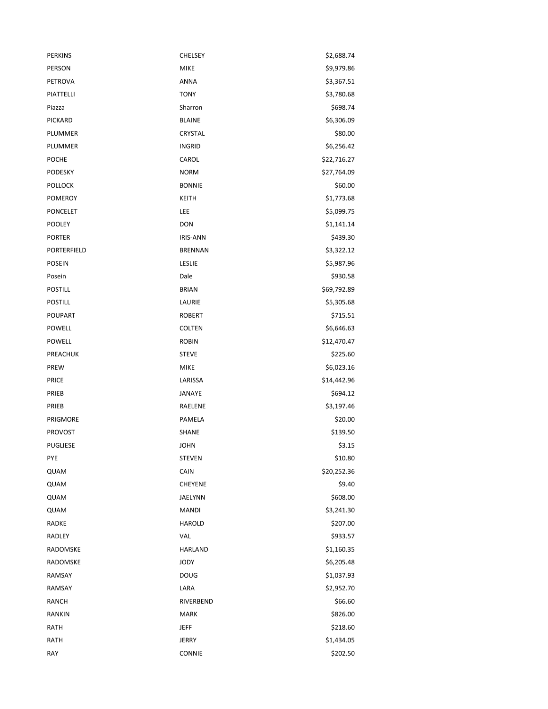| <b>PERKINS</b>  | <b>CHELSEY</b>  | \$2,688.74  |
|-----------------|-----------------|-------------|
| PERSON          | <b>MIKE</b>     | \$9,979.86  |
| PETROVA         | ANNA            | \$3,367.51  |
| PIATTELLI       | <b>TONY</b>     | \$3,780.68  |
| Piazza          | Sharron         | \$698.74    |
| PICKARD         | <b>BLAINE</b>   | \$6,306.09  |
| PLUMMER         | CRYSTAL         | \$80.00     |
| PLUMMER         | <b>INGRID</b>   | \$6,256.42  |
| <b>POCHE</b>    | CAROL           | \$22,716.27 |
| PODESKY         | <b>NORM</b>     | \$27,764.09 |
| <b>POLLOCK</b>  | <b>BONNIE</b>   | \$60.00     |
| <b>POMEROY</b>  | <b>KEITH</b>    | \$1,773.68  |
| <b>PONCELET</b> | LEE             | \$5,099.75  |
| <b>POOLEY</b>   | <b>DON</b>      | \$1,141.14  |
| <b>PORTER</b>   | <b>IRIS-ANN</b> | \$439.30    |
| PORTERFIELD     | <b>BRENNAN</b>  | \$3,322.12  |
| <b>POSEIN</b>   | LESLIE          | \$5,987.96  |
| Posein          | Dale            | \$930.58    |
| <b>POSTILL</b>  | <b>BRIAN</b>    | \$69,792.89 |
| <b>POSTILL</b>  | LAURIE          | \$5,305.68  |
| POUPART         | <b>ROBERT</b>   | \$715.51    |
| POWELL          | <b>COLTEN</b>   | \$6,646.63  |
| POWELL          | <b>ROBIN</b>    | \$12,470.47 |
| PREACHUK        | <b>STEVE</b>    | \$225.60    |
| PREW            | <b>MIKE</b>     | \$6,023.16  |
| <b>PRICE</b>    | LARISSA         | \$14,442.96 |
| PRIEB           | JANAYE          | \$694.12    |
| PRIEB           | RAELENE         | \$3,197.46  |
| PRIGMORE        | PAMELA          | \$20.00     |
| <b>PROVOST</b>  | SHANE           | \$139.50    |
| <b>PUGLIESE</b> | <b>JOHN</b>     | \$3.15      |
| <b>PYE</b>      | <b>STEVEN</b>   | \$10.80     |
| QUAM            | CAIN            | \$20,252.36 |
| QUAM            | CHEYENE         | \$9.40      |
| QUAM            | JAELYNN         | \$608.00    |
| QUAM            | <b>MANDI</b>    | \$3,241.30  |
| RADKE           | <b>HAROLD</b>   | \$207.00    |
| RADLEY          | VAL             | \$933.57    |
| RADOMSKE        | HARLAND         | \$1,160.35  |
| RADOMSKE        | <b>JODY</b>     | \$6,205.48  |
| RAMSAY          | <b>DOUG</b>     | \$1,037.93  |
| RAMSAY          | LARA            | \$2,952.70  |
| <b>RANCH</b>    | RIVERBEND       | \$66.60     |
| <b>RANKIN</b>   | <b>MARK</b>     | \$826.00    |
| <b>RATH</b>     | JEFF            | \$218.60    |
| <b>RATH</b>     | <b>JERRY</b>    | \$1,434.05  |
| RAY             | CONNIE          | \$202.50    |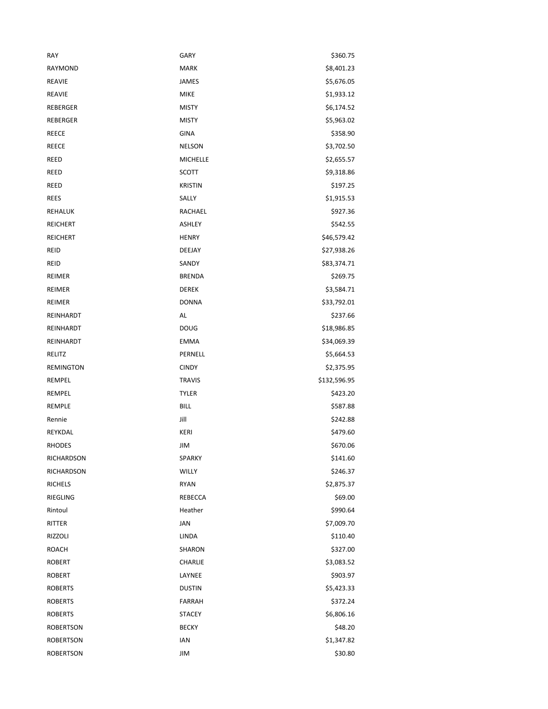| RAY               | <b>GARY</b>     | \$360.75     |
|-------------------|-----------------|--------------|
| RAYMOND           | <b>MARK</b>     | \$8,401.23   |
| <b>REAVIE</b>     | <b>JAMES</b>    | \$5,676.05   |
| <b>REAVIE</b>     | <b>MIKE</b>     | \$1,933.12   |
| REBERGER          | <b>MISTY</b>    | \$6,174.52   |
| REBERGER          | <b>MISTY</b>    | \$5,963.02   |
| REECE             | <b>GINA</b>     | \$358.90     |
| <b>REECE</b>      | <b>NELSON</b>   | \$3,702.50   |
| REED              | <b>MICHELLE</b> | \$2,655.57   |
| REED              | SCOTT           | \$9,318.86   |
| REED              | <b>KRISTIN</b>  | \$197.25     |
| <b>REES</b>       | SALLY           | \$1,915.53   |
| REHALUK           | RACHAEL         | \$927.36     |
| REICHERT          | ASHLEY          | \$542.55     |
| <b>REICHERT</b>   | <b>HENRY</b>    | \$46,579.42  |
| <b>REID</b>       | DEEJAY          | \$27,938.26  |
| REID              | SANDY           | \$83,374.71  |
| REIMER            | <b>BRENDA</b>   | \$269.75     |
| REIMER            | DEREK           | \$3,584.71   |
| <b>REIMER</b>     | <b>DONNA</b>    | \$33,792.01  |
| REINHARDT         | AL              | \$237.66     |
| REINHARDT         | <b>DOUG</b>     | \$18,986.85  |
| REINHARDT         | <b>EMMA</b>     | \$34,069.39  |
| RELITZ            | PERNELL         | \$5,664.53   |
| <b>REMINGTON</b>  | <b>CINDY</b>    | \$2,375.95   |
| REMPEL            | <b>TRAVIS</b>   | \$132,596.95 |
| REMPEL            | <b>TYLER</b>    | \$423.20     |
| REMPLE            | <b>BILL</b>     | \$587.88     |
| Rennie            | Jill            | \$242.88     |
| REYKDAL           | <b>KERI</b>     | \$479.60     |
| <b>RHODES</b>     | JIM             | \$670.06     |
| RICHARDSON        | SPARKY          | \$141.60     |
| <b>RICHARDSON</b> | WILLY           | \$246.37     |
| <b>RICHELS</b>    | <b>RYAN</b>     | \$2,875.37   |
| RIEGLING          | REBECCA         | \$69.00      |
| Rintoul           | Heather         | \$990.64     |
| RITTER            | JAN             | \$7,009.70   |
| <b>RIZZOLI</b>    | LINDA           | \$110.40     |
| <b>ROACH</b>      | SHARON          | \$327.00     |
| <b>ROBERT</b>     | CHARLIE         | \$3,083.52   |
| <b>ROBERT</b>     | LAYNEE          | \$903.97     |
| <b>ROBERTS</b>    | <b>DUSTIN</b>   | \$5,423.33   |
| <b>ROBERTS</b>    | <b>FARRAH</b>   | \$372.24     |
| <b>ROBERTS</b>    | <b>STACEY</b>   | \$6,806.16   |
| <b>ROBERTSON</b>  | <b>BECKY</b>    | \$48.20      |
| <b>ROBERTSON</b>  | IAN             | \$1,347.82   |
| ROBERTSON         | JIM             | \$30.80      |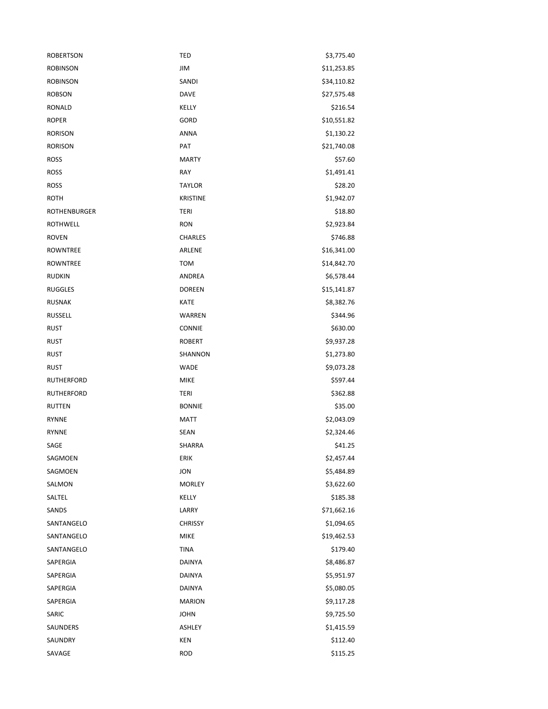| <b>ROBERTSON</b>    | <b>TED</b>      | \$3,775.40  |
|---------------------|-----------------|-------------|
| <b>ROBINSON</b>     | JIM             | \$11,253.85 |
| <b>ROBINSON</b>     | SANDI           | \$34,110.82 |
| <b>ROBSON</b>       | <b>DAVE</b>     | \$27,575.48 |
| <b>RONALD</b>       | KELLY           | \$216.54    |
| <b>ROPER</b>        | GORD            | \$10,551.82 |
| <b>RORISON</b>      | <b>ANNA</b>     | \$1,130.22  |
| <b>RORISON</b>      | PAT             | \$21,740.08 |
| <b>ROSS</b>         | <b>MARTY</b>    | \$57.60     |
| <b>ROSS</b>         | RAY             | \$1,491.41  |
| <b>ROSS</b>         | <b>TAYLOR</b>   | \$28.20     |
| ROTH                | <b>KRISTINE</b> | \$1,942.07  |
| <b>ROTHENBURGER</b> | <b>TERI</b>     | \$18.80     |
| <b>ROTHWELL</b>     | <b>RON</b>      | \$2,923.84  |
| <b>ROVEN</b>        | <b>CHARLES</b>  | \$746.88    |
| <b>ROWNTREE</b>     | ARLENE          | \$16,341.00 |
| <b>ROWNTREE</b>     | <b>TOM</b>      | \$14,842.70 |
| <b>RUDKIN</b>       | ANDREA          | \$6,578.44  |
| <b>RUGGLES</b>      | <b>DOREEN</b>   | \$15,141.87 |
| <b>RUSNAK</b>       | <b>KATE</b>     | \$8,382.76  |
| <b>RUSSELL</b>      | WARREN          | \$344.96    |
| <b>RUST</b>         | <b>CONNIE</b>   | \$630.00    |
| <b>RUST</b>         | <b>ROBERT</b>   | \$9,937.28  |
| <b>RUST</b>         | SHANNON         | \$1,273.80  |
| <b>RUST</b>         | <b>WADE</b>     | \$9,073.28  |
| RUTHERFORD          | <b>MIKE</b>     | \$597.44    |
| <b>RUTHERFORD</b>   | <b>TERI</b>     | \$362.88    |
| <b>RUTTEN</b>       | <b>BONNIE</b>   | \$35.00     |
| <b>RYNNE</b>        | <b>MATT</b>     | \$2,043.09  |
| <b>RYNNE</b>        | SEAN            | \$2,324.46  |
| SAGE                | SHARRA          | \$41.25     |
| SAGMOEN             | ERIK            | \$2,457.44  |
| SAGMOEN             | JON             | \$5,484.89  |
| SALMON              | <b>MORLEY</b>   | \$3,622.60  |
| SALTEL              | KELLY           | \$185.38    |
| SANDS               | LARRY           | \$71,662.16 |
| SANTANGELO          | <b>CHRISSY</b>  | \$1,094.65  |
| SANTANGELO          | <b>MIKE</b>     | \$19,462.53 |
| SANTANGELO          | <b>TINA</b>     | \$179.40    |
| SAPERGIA            | <b>DAINYA</b>   | \$8,486.87  |
| SAPERGIA            | DAINYA          | \$5,951.97  |
| SAPERGIA            | DAINYA          | \$5,080.05  |
| SAPERGIA            | <b>MARION</b>   | \$9,117.28  |
| SARIC               | <b>JOHN</b>     | \$9,725.50  |
| SAUNDERS            | ASHLEY          | \$1,415.59  |
| SAUNDRY             | KEN             | \$112.40    |
| SAVAGE              | ROD             | \$115.25    |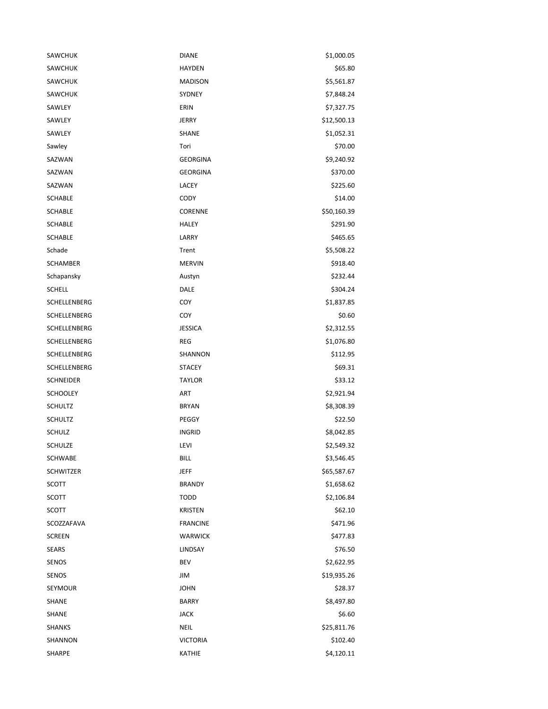| SAWCHUK          | <b>DIANE</b>    | \$1,000.05  |
|------------------|-----------------|-------------|
| <b>SAWCHUK</b>   | <b>HAYDEN</b>   | \$65.80     |
| SAWCHUK          | <b>MADISON</b>  | \$5,561.87  |
| <b>SAWCHUK</b>   | SYDNEY          | \$7,848.24  |
| SAWLEY           | ERIN            | \$7,327.75  |
| SAWLEY           | <b>JERRY</b>    | \$12,500.13 |
| SAWLEY           | <b>SHANE</b>    | \$1,052.31  |
| Sawley           | Tori            | \$70.00     |
| SAZWAN           | <b>GEORGINA</b> | \$9,240.92  |
| SAZWAN           | <b>GEORGINA</b> | \$370.00    |
| SAZWAN           | LACEY           | \$225.60    |
| <b>SCHABLE</b>   | CODY            | \$14.00     |
| <b>SCHABLE</b>   | CORENNE         | \$50,160.39 |
| <b>SCHABLE</b>   | <b>HALEY</b>    | \$291.90    |
| <b>SCHABLE</b>   | LARRY           | \$465.65    |
| Schade           | Trent           | \$5,508.22  |
| <b>SCHAMBER</b>  | <b>MERVIN</b>   | \$918.40    |
| Schapansky       | Austyn          | \$232.44    |
| <b>SCHELL</b>    | DALE            | \$304.24    |
| SCHELLENBERG     | COY             | \$1,837.85  |
| SCHELLENBERG     | COY             | \$0.60      |
| SCHELLENBERG     | <b>JESSICA</b>  | \$2,312.55  |
| SCHELLENBERG     | <b>REG</b>      | \$1,076.80  |
| SCHELLENBERG     | SHANNON         | \$112.95    |
| SCHELLENBERG     | <b>STACEY</b>   | \$69.31     |
| <b>SCHNEIDER</b> | <b>TAYLOR</b>   | \$33.12     |
| <b>SCHOOLEY</b>  | <b>ART</b>      | \$2,921.94  |
| <b>SCHULTZ</b>   | <b>BRYAN</b>    | \$8,308.39  |
| <b>SCHULTZ</b>   | PEGGY           | \$22.50     |
| <b>SCHULZ</b>    | <b>INGRID</b>   | \$8,042.85  |
| SCHULZE          | LEVI            | \$2,549.32  |
| SCHWABE          | <b>BILL</b>     | \$3,546.45  |
| <b>SCHWITZER</b> | <b>JEFF</b>     | \$65,587.67 |
| <b>SCOTT</b>     | <b>BRANDY</b>   | \$1,658.62  |
| SCOTT            | <b>TODD</b>     | \$2,106.84  |
| SCOTT            | <b>KRISTEN</b>  | \$62.10     |
| SCOZZAFAVA       | <b>FRANCINE</b> | \$471.96    |
| <b>SCREEN</b>    | <b>WARWICK</b>  | \$477.83    |
| <b>SEARS</b>     | LINDSAY         | \$76.50     |
| SENOS            | BEV             | \$2,622.95  |
| SENOS            | JIM             | \$19,935.26 |
| SEYMOUR          | <b>JOHN</b>     | \$28.37     |
| SHANE            | <b>BARRY</b>    | \$8,497.80  |
| SHANE            | <b>JACK</b>     | \$6.60      |
| <b>SHANKS</b>    | <b>NEIL</b>     | \$25,811.76 |
| SHANNON          | <b>VICTORIA</b> | \$102.40    |
| SHARPE           | KATHIE          | \$4,120.11  |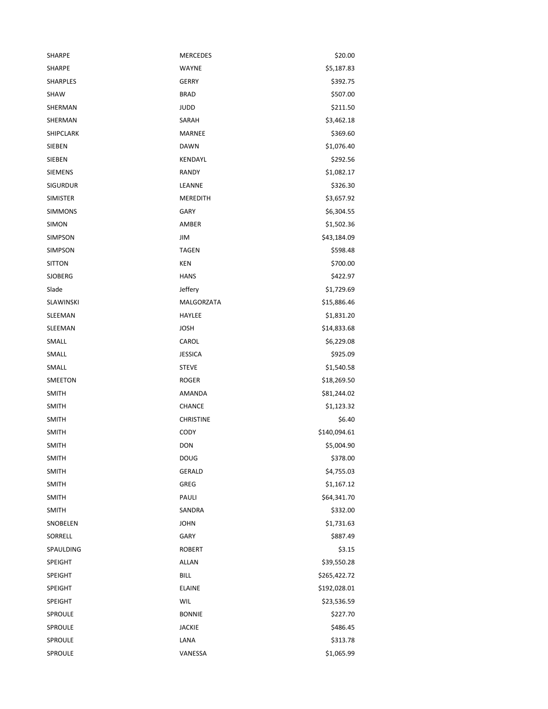| SHARPE           | <b>MERCEDES</b>  | \$20.00      |
|------------------|------------------|--------------|
| SHARPE           | <b>WAYNE</b>     | \$5,187.83   |
| SHARPLES         | <b>GERRY</b>     | \$392.75     |
| <b>SHAW</b>      | <b>BRAD</b>      | \$507.00     |
| SHERMAN          | <b>JUDD</b>      | \$211.50     |
| SHERMAN          | SARAH            | \$3,462.18   |
| <b>SHIPCLARK</b> | <b>MARNEE</b>    | \$369.60     |
| SIEBEN           | <b>DAWN</b>      | \$1,076.40   |
| <b>SIEBEN</b>    | KENDAYL          | \$292.56     |
| <b>SIEMENS</b>   | RANDY            | \$1,082.17   |
| <b>SIGURDUR</b>  | LEANNE           | \$326.30     |
| <b>SIMISTER</b>  | MEREDITH         | \$3,657.92   |
| <b>SIMMONS</b>   | <b>GARY</b>      | \$6,304.55   |
| <b>SIMON</b>     | AMBER            | \$1,502.36   |
| <b>SIMPSON</b>   | JIM              | \$43,184.09  |
| SIMPSON          | <b>TAGEN</b>     | \$598.48     |
| <b>SITTON</b>    | KEN              | \$700.00     |
| <b>SJOBERG</b>   | <b>HANS</b>      | \$422.97     |
| Slade            | Jeffery          | \$1,729.69   |
| <b>SLAWINSKI</b> | MALGORZATA       | \$15,886.46  |
| SLEEMAN          | HAYLEE           | \$1,831.20   |
| SLEEMAN          | JOSH             | \$14,833.68  |
| SMALL            | CAROL            | \$6,229.08   |
| SMALL            | JESSICA          | \$925.09     |
| SMALL            | <b>STEVE</b>     | \$1,540.58   |
| SMEETON          | <b>ROGER</b>     | \$18,269.50  |
| <b>SMITH</b>     | AMANDA           | \$81,244.02  |
| <b>SMITH</b>     | <b>CHANCE</b>    | \$1,123.32   |
| <b>SMITH</b>     | <b>CHRISTINE</b> | \$6.40       |
| <b>SMITH</b>     | <b>CODY</b>      | \$140,094.61 |
| <b>SMITH</b>     | <b>DON</b>       | \$5,004.90   |
| SMITH            | DOUG             | \$378.00     |
| <b>SMITH</b>     | <b>GERALD</b>    | \$4,755.03   |
| <b>SMITH</b>     | GREG             | \$1,167.12   |
| <b>SMITH</b>     | PAULI            | \$64,341.70  |
| <b>SMITH</b>     | SANDRA           | \$332.00     |
| SNOBELEN         | <b>JOHN</b>      | \$1,731.63   |
| SORRELL          | GARY             | \$887.49     |
| SPAULDING        | <b>ROBERT</b>    | \$3.15       |
| SPEIGHT          | <b>ALLAN</b>     | \$39,550.28  |
| SPEIGHT          | <b>BILL</b>      | \$265,422.72 |
| SPEIGHT          | <b>ELAINE</b>    | \$192,028.01 |
| <b>SPEIGHT</b>   | WIL              | \$23,536.59  |
| SPROULE          | <b>BONNIE</b>    | \$227.70     |
| SPROULE          | <b>JACKIE</b>    | \$486.45     |
| SPROULE          | LANA             | \$313.78     |
| SPROULE          | VANESSA          | \$1,065.99   |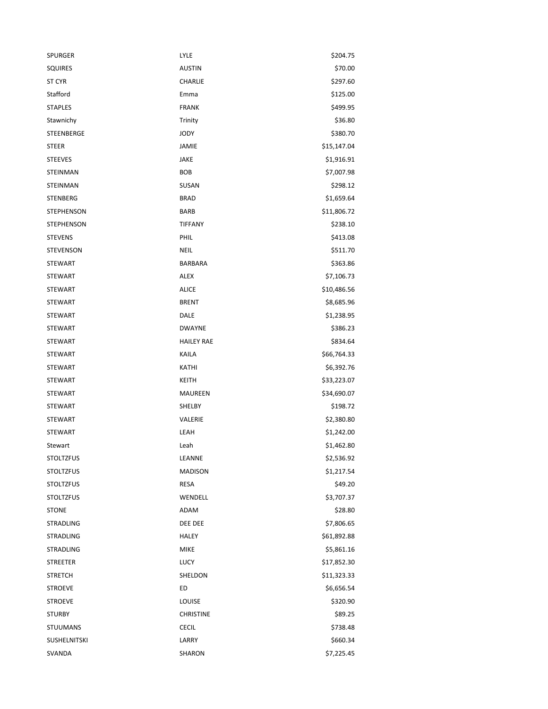| <b>SPURGER</b>      | LYLE              | \$204.75    |
|---------------------|-------------------|-------------|
| <b>SQUIRES</b>      | <b>AUSTIN</b>     | \$70.00     |
| ST CYR              | <b>CHARLIE</b>    | \$297.60    |
| Stafford            | Emma              | \$125.00    |
| <b>STAPLES</b>      | <b>FRANK</b>      | \$499.95    |
| Stawnichy           | Trinity           | \$36.80     |
| STEENBERGE          | <b>JODY</b>       | \$380.70    |
| <b>STEER</b>        | JAMIE             | \$15,147.04 |
| <b>STEEVES</b>      | JAKE              | \$1,916.91  |
| STEINMAN            | <b>BOB</b>        | \$7,007.98  |
| STEINMAN            | SUSAN             | \$298.12    |
| <b>STENBERG</b>     | <b>BRAD</b>       | \$1,659.64  |
| <b>STEPHENSON</b>   | <b>BARB</b>       | \$11,806.72 |
| <b>STEPHENSON</b>   | <b>TIFFANY</b>    | \$238.10    |
| <b>STEVENS</b>      | PHIL              | \$413.08    |
| <b>STEVENSON</b>    | <b>NEIL</b>       | \$511.70    |
| <b>STEWART</b>      | BARBARA           | \$363.86    |
| <b>STEWART</b>      | <b>ALEX</b>       | \$7,106.73  |
| <b>STEWART</b>      | <b>ALICE</b>      | \$10,486.56 |
| <b>STEWART</b>      | <b>BRENT</b>      | \$8,685.96  |
| <b>STEWART</b>      | DALE              | \$1,238.95  |
| <b>STEWART</b>      | <b>DWAYNE</b>     | \$386.23    |
| <b>STEWART</b>      | <b>HAILEY RAE</b> | \$834.64    |
| <b>STEWART</b>      | KAILA             | \$66,764.33 |
| <b>STEWART</b>      | KATHI             | \$6,392.76  |
| <b>STEWART</b>      | KEITH             | \$33,223.07 |
| <b>STEWART</b>      | <b>MAUREEN</b>    | \$34,690.07 |
| <b>STEWART</b>      | SHELBY            | \$198.72    |
| <b>STEWART</b>      | VALERIE           | \$2,380.80  |
| <b>STEWART</b>      | LEAH              | \$1,242.00  |
| Stewart             | Leah              | \$1,462.80  |
| <b>STOLTZFUS</b>    | LEANNE            | \$2,536.92  |
| <b>STOLTZFUS</b>    | <b>MADISON</b>    | \$1,217.54  |
| <b>STOLTZFUS</b>    | RESA              | \$49.20     |
| <b>STOLTZFUS</b>    | WENDELL           | \$3,707.37  |
| <b>STONE</b>        | ADAM              | \$28.80     |
| <b>STRADLING</b>    | DEE DEE           | \$7,806.65  |
| <b>STRADLING</b>    | <b>HALEY</b>      | \$61,892.88 |
| <b>STRADLING</b>    | <b>MIKE</b>       | \$5,861.16  |
| <b>STREETER</b>     | <b>LUCY</b>       | \$17,852.30 |
| <b>STRETCH</b>      | SHELDON           | \$11,323.33 |
| <b>STROEVE</b>      | ED                | \$6,656.54  |
| <b>STROEVE</b>      | LOUISE            | \$320.90    |
| <b>STURBY</b>       | <b>CHRISTINE</b>  | \$89.25     |
| <b>STUUMANS</b>     | <b>CECIL</b>      | \$738.48    |
| <b>SUSHELNITSKI</b> | LARRY             | \$660.34    |
| SVANDA              | SHARON            | \$7,225.45  |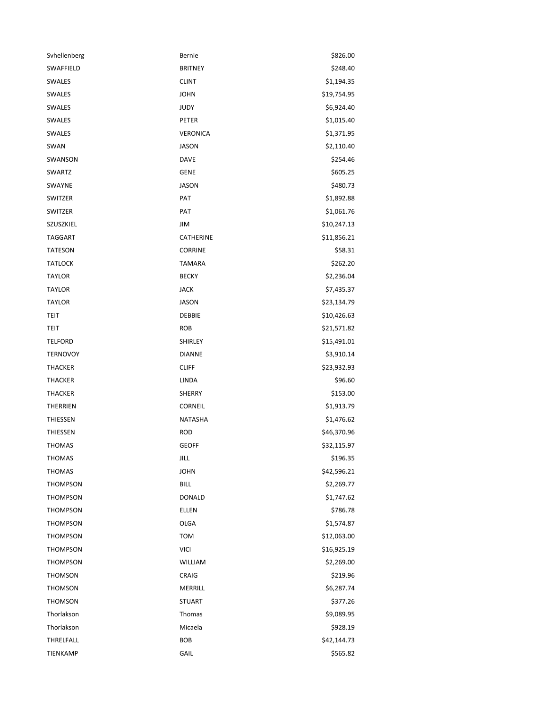| Svhellenberg    | Bernie           | \$826.00    |
|-----------------|------------------|-------------|
| SWAFFIELD       | <b>BRITNEY</b>   | \$248.40    |
| SWALES          | <b>CLINT</b>     | \$1,194.35  |
| SWALES          | <b>JOHN</b>      | \$19,754.95 |
| SWALES          | <b>JUDY</b>      | \$6,924.40  |
| SWALES          | PETER            | \$1,015.40  |
| SWALES          | VERONICA         | \$1,371.95  |
| SWAN            | JASON            | \$2,110.40  |
| SWANSON         | <b>DAVE</b>      | \$254.46    |
| SWARTZ          | <b>GENE</b>      | \$605.25    |
| SWAYNE          | JASON            | \$480.73    |
| SWITZER         | PAT              | \$1,892.88  |
| SWITZER         | PAT              | \$1,061.76  |
| SZUSZKIEL       | JIM              | \$10,247.13 |
| <b>TAGGART</b>  | <b>CATHERINE</b> | \$11,856.21 |
| <b>TATESON</b>  | <b>CORRINE</b>   | \$58.31     |
| <b>TATLOCK</b>  | <b>TAMARA</b>    | \$262.20    |
| <b>TAYLOR</b>   | <b>BECKY</b>     | \$2,236.04  |
| <b>TAYLOR</b>   | JACK             | \$7,435.37  |
| <b>TAYLOR</b>   | JASON            | \$23,134.79 |
| TEIT            | <b>DEBBIE</b>    | \$10,426.63 |
| TEIT            | <b>ROB</b>       | \$21,571.82 |
| <b>TELFORD</b>  | SHIRLEY          | \$15,491.01 |
| <b>TERNOVOY</b> | <b>DIANNE</b>    | \$3,910.14  |
| <b>THACKER</b>  | <b>CLIFF</b>     | \$23,932.93 |
| <b>THACKER</b>  | LINDA            | \$96.60     |
| <b>THACKER</b>  | SHERRY           | \$153.00    |
| THERRIEN        | CORNEIL          | \$1,913.79  |
| THIESSEN        | <b>NATASHA</b>   | \$1,476.62  |
| THIESSEN        | <b>ROD</b>       | \$46,370.96 |
| THOMAS          | <b>GEOFF</b>     | \$32,115.97 |
| THOMAS          | JILL             | \$196.35    |
| THOMAS          | <b>JOHN</b>      | \$42,596.21 |
| <b>THOMPSON</b> | <b>BILL</b>      | \$2,269.77  |
| <b>THOMPSON</b> | <b>DONALD</b>    | \$1,747.62  |
| <b>THOMPSON</b> | ELLEN            | \$786.78    |
| <b>THOMPSON</b> | <b>OLGA</b>      | \$1,574.87  |
| <b>THOMPSON</b> | <b>TOM</b>       | \$12,063.00 |
| THOMPSON        | <b>VICI</b>      | \$16,925.19 |
| <b>THOMPSON</b> | WILLIAM          | \$2,269.00  |
| <b>THOMSON</b>  | CRAIG            | \$219.96    |
| THOMSON         | MERRILL          | \$6,287.74  |
| <b>THOMSON</b>  | <b>STUART</b>    | \$377.26    |
| Thorlakson      | Thomas           | \$9,089.95  |
| Thorlakson      | Micaela          | \$928.19    |
| THRELFALL       | <b>BOB</b>       | \$42,144.73 |
| TIENKAMP        | GAIL             | \$565.82    |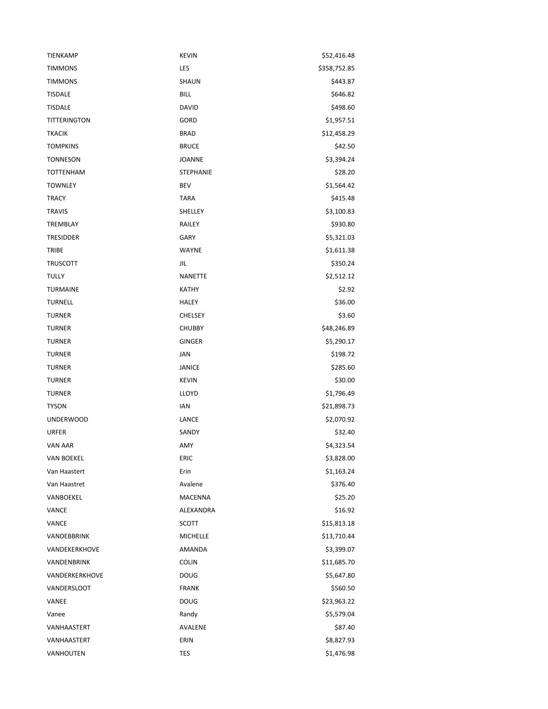| TIENKAMP          | <b>KEVIN</b>     | \$52,416.48  |
|-------------------|------------------|--------------|
| <b>TIMMONS</b>    | LES              | \$358,752.85 |
| <b>TIMMONS</b>    | <b>SHAUN</b>     | \$443.87     |
| <b>TISDALE</b>    | <b>BILL</b>      | \$646.82     |
| <b>TISDALE</b>    | <b>DAVID</b>     | \$498.60     |
| TITTERINGTON      | GORD             | \$1,957.51   |
| <b>TKACIK</b>     | <b>BRAD</b>      | \$12,458.29  |
| <b>TOMPKINS</b>   | <b>BRUCE</b>     | \$42.50      |
| <b>TONNESON</b>   | <b>JOANNE</b>    | \$3,394.24   |
| <b>TOTTENHAM</b>  | <b>STEPHANIE</b> | \$28.20      |
| <b>TOWNLEY</b>    | BEV              | \$1,564.42   |
| <b>TRACY</b>      | <b>TARA</b>      | \$415.48     |
| <b>TRAVIS</b>     | SHELLEY          | \$3,100.83   |
| <b>TREMBLAY</b>   | RAILEY           | \$930.80     |
| <b>TRESIDDER</b>  | <b>GARY</b>      | \$5,321.03   |
| TRIBE             | WAYNE            | \$1,611.38   |
| <b>TRUSCOTT</b>   | JIL              | \$350.24     |
| <b>TULLY</b>      | <b>NANETTE</b>   | \$2,512.12   |
| <b>TURMAINE</b>   | <b>KATHY</b>     | \$2.92       |
| <b>TURNELL</b>    | <b>HALEY</b>     | \$36.00      |
| <b>TURNER</b>     | <b>CHELSEY</b>   | \$3.60       |
| <b>TURNER</b>     | <b>CHUBBY</b>    | \$48,246.89  |
| <b>TURNER</b>     | GINGER           | \$5,290.17   |
| <b>TURNER</b>     | JAN              | \$198.72     |
| <b>TURNER</b>     | <b>JANICE</b>    | \$285.60     |
| <b>TURNER</b>     | <b>KEVIN</b>     | \$30.00      |
| <b>TURNER</b>     | LLOYD            | \$1,796.49   |
| <b>TYSON</b>      | IAN              | \$21,898.73  |
| <b>UNDERWOOD</b>  | LANCE            | \$2,070.92   |
| URFER             | SANDY            | \$32.40      |
| VAN AAR           | AMY              | \$4,323.54   |
| <b>VAN BOEKEL</b> | ERIC             | \$3,828.00   |
| Van Haastert      | Erin             | \$1,163.24   |
| Van Haastret      | Avalene          | \$376.40     |
| VANBOEKEL         | MACENNA          | \$25.20      |
| VANCE             | ALEXANDRA        | \$16.92      |
| VANCE             | SCOTT            | \$15,813.18  |
| VANDEBBRINK       | <b>MICHELLE</b>  | \$13,710.44  |
| VANDEKERKHOVE     | AMANDA           | \$3,399.07   |
| VANDENBRINK       | <b>COLIN</b>     | \$11,685.70  |
| VANDERKERKHOVE    | <b>DOUG</b>      | \$5,647.80   |
| VANDERSLOOT       | <b>FRANK</b>     | \$560.50     |
| VANEE             | <b>DOUG</b>      | \$23,963.22  |
| Vanee             | Randy            | \$5,579.04   |
| VANHAASTERT       | AVALENE          | \$87.40      |
| VANHAASTERT       | ERIN             | \$8,827.93   |
| VANHOUTEN         | TES              | \$1,476.98   |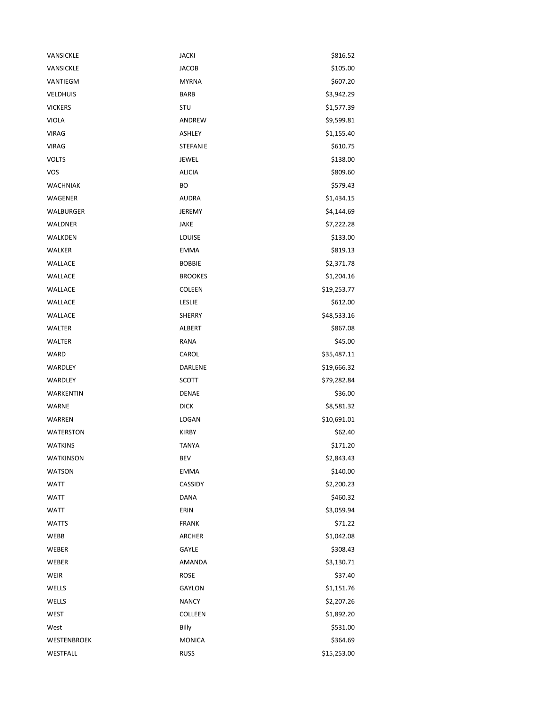| VANSICKLE        | <b>JACKI</b>    | \$816.52    |
|------------------|-----------------|-------------|
| VANSICKLE        | <b>JACOB</b>    | \$105.00    |
| VANTIEGM         | <b>MYRNA</b>    | \$607.20    |
| <b>VELDHUIS</b>  | <b>BARB</b>     | \$3,942.29  |
| <b>VICKERS</b>   | STU             | \$1,577.39  |
| <b>VIOLA</b>     | ANDREW          | \$9,599.81  |
| <b>VIRAG</b>     | ASHLEY          | \$1,155.40  |
| <b>VIRAG</b>     | <b>STEFANIE</b> | \$610.75    |
| <b>VOLTS</b>     | JEWEL           | \$138.00    |
| <b>VOS</b>       | <b>ALICIA</b>   | \$809.60    |
| WACHNIAK         | ВO              | \$579.43    |
| WAGENER          | <b>AUDRA</b>    | \$1,434.15  |
| WALBURGER        | JEREMY          | \$4,144.69  |
| <b>WALDNER</b>   | JAKE            | \$7,222.28  |
| WALKDEN          | LOUISE          | \$133.00    |
| WALKER           | <b>EMMA</b>     | \$819.13    |
| WALLACE          | <b>BOBBIE</b>   | \$2,371.78  |
| WALLACE          | <b>BROOKES</b>  | \$1,204.16  |
| <b>WALLACE</b>   | <b>COLEEN</b>   | \$19,253.77 |
| WALLACE          | LESLIE          | \$612.00    |
| WALLACE          | SHERRY          | \$48,533.16 |
| WALTER           | ALBERT          | \$867.08    |
| <b>WALTER</b>    | RANA            | \$45.00     |
| WARD             | CAROL           | \$35,487.11 |
| WARDLEY          | DARLENE         | \$19,666.32 |
| WARDLEY          | <b>SCOTT</b>    | \$79,282.84 |
| WARKENTIN        | DENAE           | \$36.00     |
| WARNE            | <b>DICK</b>     | \$8,581.32  |
| WARREN           | LOGAN           | \$10,691.01 |
| <b>WATERSTON</b> | <b>KIRBY</b>    | \$62.40     |
| <b>WATKINS</b>   | <b>TANYA</b>    | \$171.20    |
| <b>WATKINSON</b> | BEV             | \$2,843.43  |
| <b>WATSON</b>    | <b>EMMA</b>     | \$140.00    |
| <b>WATT</b>      | CASSIDY         | \$2,200.23  |
| <b>WATT</b>      | <b>DANA</b>     | \$460.32    |
| <b>WATT</b>      | ERIN            | \$3,059.94  |
| <b>WATTS</b>     | <b>FRANK</b>    | \$71.22     |
| WEBB             | ARCHER          | \$1,042.08  |
| WEBER            | GAYLE           | \$308.43    |
| WEBER            | AMANDA          | \$3,130.71  |
| WEIR             | <b>ROSE</b>     | \$37.40     |
| WELLS            | GAYLON          | \$1,151.76  |
| WELLS            | <b>NANCY</b>    | \$2,207.26  |
| WEST             | COLLEEN         | \$1,892.20  |
| West             | Billy           | \$531.00    |
| WESTENBROEK      | <b>MONICA</b>   | \$364.69    |
| WESTFALL         | <b>RUSS</b>     | \$15,253.00 |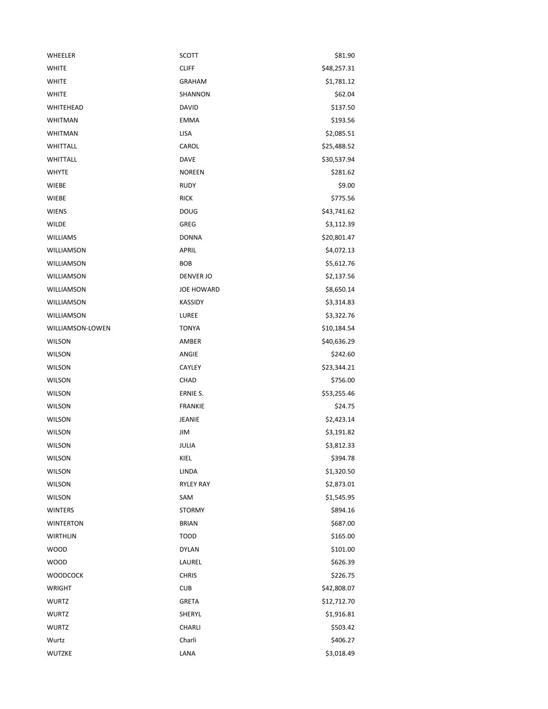| WHEELER           | SCOTT             | \$81.90     |
|-------------------|-------------------|-------------|
| <b>WHITE</b>      | <b>CLIFF</b>      | \$48,257.31 |
| <b>WHITE</b>      | <b>GRAHAM</b>     | \$1,781.12  |
| <b>WHITE</b>      | SHANNON           | \$62.04     |
| WHITEHEAD         | DAVID             | \$137.50    |
| <b>WHITMAN</b>    | <b>EMMA</b>       | \$193.56    |
| <b>WHITMAN</b>    | <b>LISA</b>       | \$2,085.51  |
| WHITTALL          | CAROL             | \$25,488.52 |
| WHITTALL          | <b>DAVE</b>       | \$30,537.94 |
| <b>WHYTE</b>      | <b>NOREEN</b>     | \$281.62    |
| WIEBE             | <b>RUDY</b>       | \$9.00      |
| WIEBE             | <b>RICK</b>       | \$775.56    |
| <b>WIENS</b>      | <b>DOUG</b>       | \$43,741.62 |
| <b>WILDE</b>      | <b>GREG</b>       | \$3,112.39  |
| <b>WILLIAMS</b>   | <b>DONNA</b>      | \$20,801.47 |
| WILLIAMSON        | <b>APRIL</b>      | \$4,072.13  |
| WILLIAMSON        | <b>BOB</b>        | \$5,612.76  |
| WILLIAMSON        | DENVER JO         | \$2,137.56  |
| <b>WILLIAMSON</b> | <b>JOE HOWARD</b> | \$8,650.14  |
| WILLIAMSON        | <b>KASSIDY</b>    | \$3,314.83  |
| WILLIAMSON        | LUREE             | \$3,322.76  |
| WILLIAMSON-LOWEN  | <b>TONYA</b>      | \$10,184.54 |
| <b>WILSON</b>     | AMBER             | \$40,636.29 |
| <b>WILSON</b>     | ANGIE             | \$242.60    |
| <b>WILSON</b>     | CAYLEY            | \$23,344.21 |
| <b>WILSON</b>     | CHAD              | \$756.00    |
| <b>WILSON</b>     | ERNIE S.          | \$53,255.46 |
| <b>WILSON</b>     | <b>FRANKIE</b>    | \$24.75     |
| <b>WILSON</b>     | JEANIE            | \$2,423.14  |
| <b>WILSON</b>     | JIM               | \$3,191.82  |
| <b>WILSON</b>     | JULIA             | \$3,812.33  |
| <b>WILSON</b>     | KIEL              | \$394.78    |
| WILSON            | LINDA             | \$1,320.50  |
| <b>WILSON</b>     | <b>RYLEY RAY</b>  | \$2,873.01  |
| WILSON            | SAM               | \$1,545.95  |
| <b>WINTERS</b>    | <b>STORMY</b>     | \$894.16    |
| <b>WINTERTON</b>  | <b>BRIAN</b>      | \$687.00    |
| <b>WIRTHLIN</b>   | <b>TODD</b>       | \$165.00    |
| <b>WOOD</b>       | <b>DYLAN</b>      | \$101.00    |
| <b>WOOD</b>       | LAUREL            | \$626.39    |
| <b>WOODCOCK</b>   | <b>CHRIS</b>      | \$226.75    |
| WRIGHT            | <b>CUB</b>        | \$42,808.07 |
| WURTZ             | GRETA             | \$12,712.70 |
| WURTZ             | SHERYL            | \$1,916.81  |
| <b>WURTZ</b>      | CHARLI            | \$503.42    |
| Wurtz             | Charli            | \$406.27    |
| WUTZKE            | LANA              | \$3,018.49  |